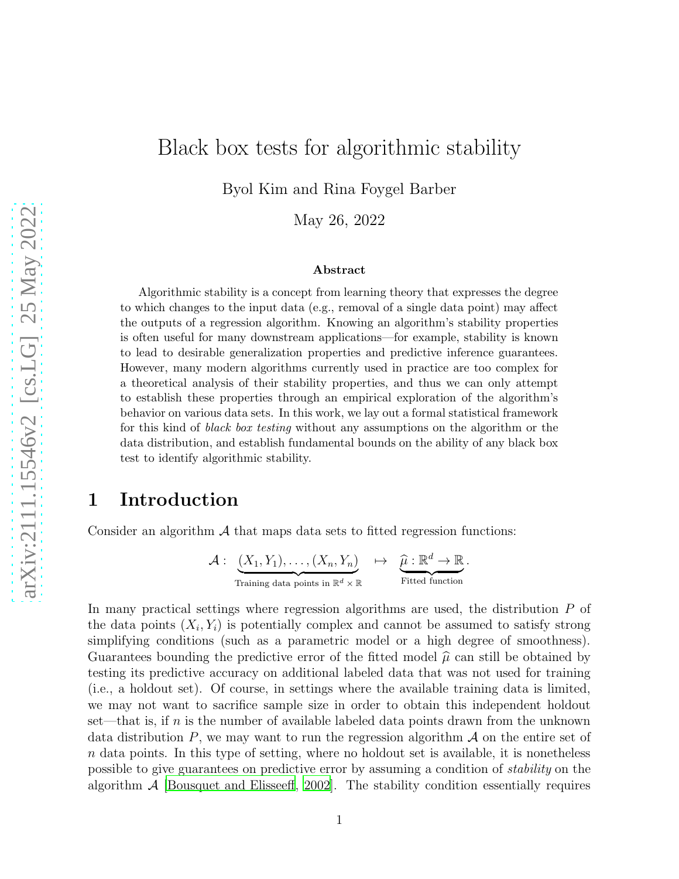# Black box tests for algorithmic stability

Byol Kim and Rina Foygel Barber

May 26, 2022

#### Abstract

Algorithmic stability is a concept from learning theory that expresses the degree to which changes to the input data (e.g., removal of a single data point) may affect the outputs of a regression algorithm. Knowing an algorithm's stability properties is often useful for many downstream applications—for example, stability is known to lead to desirable generalization properties and predictive inference guarantees. However, many modern algorithms currently used in practice are too complex for a theoretical analysis of their stability properties, and thus we can only attempt to establish these properties through an empirical exploration of the algorithm's behavior on various data sets. In this work, we lay out a formal statistical framework for this kind of black box testing without any assumptions on the algorithm or the data distribution, and establish fundamental bounds on the ability of any black box test to identify algorithmic stability.

## 1 Introduction

Consider an algorithm  $\mathcal A$  that maps data sets to fitted regression functions:

$$
\mathcal{A}:\underbrace{(X_1,Y_1),\ldots,(X_n,Y_n)}_{\text{Training data points in }\mathbb{R}^d\times\mathbb{R}}\quad\mapsto\quad\underbrace{\widehat{\mu}:\mathbb{R}^d\to\mathbb{R}}_{\text{Fitted function}}.
$$

In many practical settings where regression algorithms are used, the distribution P of the data points  $(X_i, Y_i)$  is potentially complex and cannot be assumed to satisfy strong simplifying conditions (such as a parametric model or a high degree of smoothness). Guarantees bounding the predictive error of the fitted model  $\hat{\mu}$  can still be obtained by testing its predictive accuracy on additional labeled data that was not used for training (i.e., a holdout set). Of course, in settings where the available training data is limited, we may not want to sacrifice sample size in order to obtain this independent holdout set—that is, if  $n$  is the number of available labeled data points drawn from the unknown data distribution  $P$ , we may want to run the regression algorithm  $\mathcal A$  on the entire set of  $n$  data points. In this type of setting, where no holdout set is available, it is nonetheless possible to give guarantees on predictive error by assuming a condition of stability on the algorithm  $A$  [\[Bousquet and Elisseeff](#page-14-0), [2002\]](#page-14-0). The stability condition essentially requires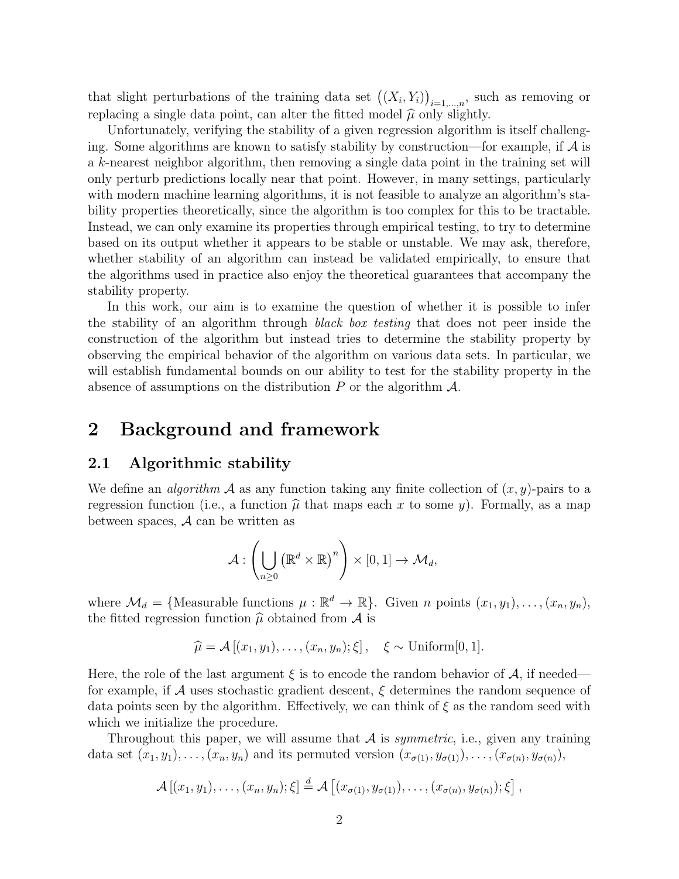that slight perturbations of the training data set  $((X_i, Y_i))_{i=1,\dots,n}$ , such as removing or replacing a single data point, can alter the fitted model  $\hat{\mu}$  only slightly.

Unfortunately, verifying the stability of a given regression algorithm is itself challenging. Some algorithms are known to satisfy stability by construction—for example, if  $A$  is a k-nearest neighbor algorithm, then removing a single data point in the training set will only perturb predictions locally near that point. However, in many settings, particularly with modern machine learning algorithms, it is not feasible to analyze an algorithm's stability properties theoretically, since the algorithm is too complex for this to be tractable. Instead, we can only examine its properties through empirical testing, to try to determine based on its output whether it appears to be stable or unstable. We may ask, therefore, whether stability of an algorithm can instead be validated empirically, to ensure that the algorithms used in practice also enjoy the theoretical guarantees that accompany the stability property.

In this work, our aim is to examine the question of whether it is possible to infer the stability of an algorithm through black box testing that does not peer inside the construction of the algorithm but instead tries to determine the stability property by observing the empirical behavior of the algorithm on various data sets. In particular, we will establish fundamental bounds on our ability to test for the stability property in the absence of assumptions on the distribution  $P$  or the algorithm  $\mathcal{A}$ .

## 2 Background and framework

### 2.1 Algorithmic stability

We define an *algorithm* A as any function taking any finite collection of  $(x, y)$ -pairs to a regression function (i.e., a function  $\hat{\mu}$  that maps each x to some y). Formally, as a map between spaces,  $A$  can be written as

$$
\mathcal{A}:\left(\bigcup_{n\geq 0}\left(\mathbb{R}^d\times\mathbb{R}\right)^n\right)\times[0,1]\to \mathcal{M}_d,
$$

where  $\mathcal{M}_d = \{\text{Measurable functions } \mu : \mathbb{R}^d \to \mathbb{R}\}.$  Given *n* points  $(x_1, y_1), \ldots, (x_n, y_n),$ the fitted regression function  $\hat{\mu}$  obtained from A is

$$
\widehat{\mu} = \mathcal{A}[(x_1, y_1), \dots, (x_n, y_n); \xi], \quad \xi \sim \text{Uniform}[0, 1].
$$

Here, the role of the last argument  $\xi$  is to encode the random behavior of  $\mathcal{A}$ , if needed for example, if  $\mathcal A$  uses stochastic gradient descent,  $\xi$  determines the random sequence of data points seen by the algorithm. Effectively, we can think of  $\xi$  as the random seed with which we initialize the procedure.

Throughout this paper, we will assume that  $A$  is *symmetric*, i.e., given any training data set  $(x_1, y_1), \ldots, (x_n, y_n)$  and its permuted version  $(x_{\sigma(1)}, y_{\sigma(1)}), \ldots, (x_{\sigma(n)}, y_{\sigma(n)}),$ 

$$
\mathcal{A}\left[(x_1,y_1),\ldots,(x_n,y_n);\xi\right] \stackrel{d}{=} \mathcal{A}\left[(x_{\sigma(1)},y_{\sigma(1)}),\ldots,(x_{\sigma(n)},y_{\sigma(n)});\xi\right],
$$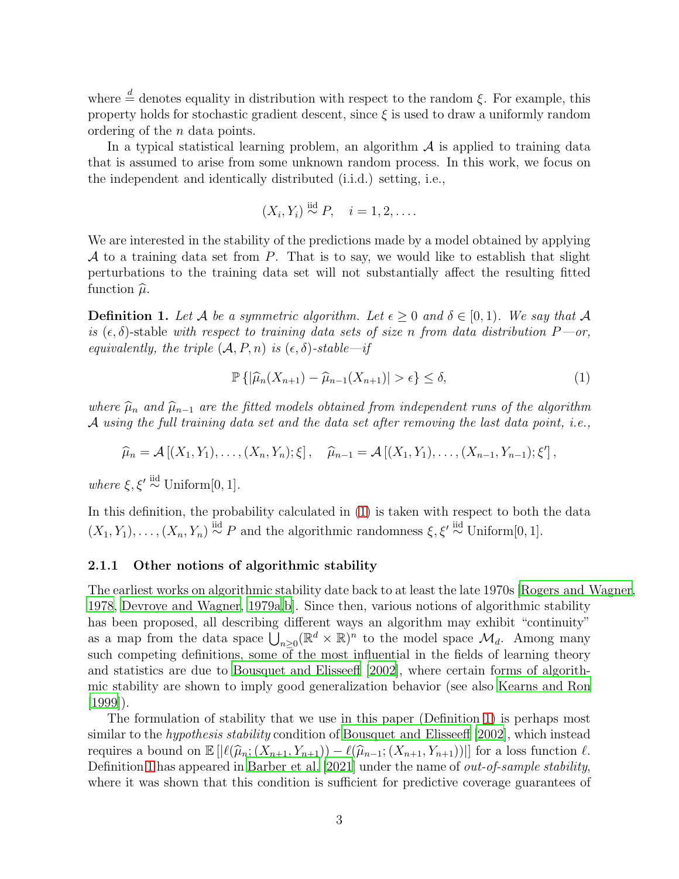where  $\stackrel{d}{=}$  denotes equality in distribution with respect to the random  $\xi$ . For example, this property holds for stochastic gradient descent, since  $\xi$  is used to draw a uniformly random ordering of the n data points.

In a typical statistical learning problem, an algorithm  $A$  is applied to training data that is assumed to arise from some unknown random process. In this work, we focus on the independent and identically distributed (i.i.d.) setting, i.e.,

$$
(X_i, Y_i) \stackrel{\text{iid}}{\sim} P, \quad i = 1, 2, \dots
$$

We are interested in the stability of the predictions made by a model obtained by applying A to a training data set from P. That is to say, we would like to establish that slight perturbations to the training data set will not substantially affect the resulting fitted function  $\hat{\mu}$ .

<span id="page-2-1"></span>**Definition 1.** Let A be a symmetric algorithm. Let  $\epsilon \geq 0$  and  $\delta \in [0,1)$ . We say that A is  $(\epsilon, \delta)$ -stable with respect to training data sets of size n from data distribution  $P$ —or, equivalently, the triple  $(A, P, n)$  is  $(\epsilon, \delta)$ -stable—if

<span id="page-2-0"></span>
$$
\mathbb{P}\left\{|\widehat{\mu}_n(X_{n+1}) - \widehat{\mu}_{n-1}(X_{n+1})| > \epsilon\right\} \le \delta,\tag{1}
$$

where  $\hat{\mu}_n$  and  $\hat{\mu}_{n-1}$  are the fitted models obtained from independent runs of the algorithm A using the full training data set and the data set after removing the last data point, i.e.,

$$
\widehat{\mu}_n = \mathcal{A}[(X_1, Y_1), \dots, (X_n, Y_n); \xi], \quad \widehat{\mu}_{n-1} = \mathcal{A}[(X_1, Y_1), \dots, (X_{n-1}, Y_{n-1}); \xi'],
$$

where  $\xi, \xi' \stackrel{\text{iid}}{\sim}$  Uniform[0, 1].

In this definition, the probability calculated in  $(1)$  is taken with respect to both the data  $(X_1, Y_1), \ldots, (X_n, Y_n) \stackrel{\text{iid}}{\sim} P$  and the algorithmic randomness  $\xi, \xi' \stackrel{\text{iid}}{\sim}$  Uniform[0, 1].

#### 2.1.1 Other notions of algorithmic stability

The earliest works on algorithmic stability date back to at least the late 1970s [\[Rogers and Wagner](#page-15-0), [1978,](#page-15-0) [Devroye and Wagner, 1979a](#page-14-1)[,b](#page-14-2)]. Since then, various notions of algorithmic stability has been proposed, all describing different ways an algorithm may exhibit "continuity" as a map from the data space  $\bigcup_{n\geq 0} (\mathbb{R}^d \times \mathbb{R})^n$  to the model space  $\mathcal{M}_d$ . Among many such competing definitions, some of the most influential in the fields of learning theory and statistics are due to [Bousquet and Elisseeff \[2002\]](#page-14-0), where certain forms of algorithmic stability are shown to imply good generalization behavior (see also [Kearns and Ron](#page-14-3)  $(1999)$ .

The formulation of stability that we use in this paper (Definition [1\)](#page-2-1) is perhaps most similar to the *hypothesis stability* condition of [Bousquet and Elisseeff \[2002](#page-14-0)], which instead requires a bound on  $\mathbb{E} \left[ \left| \ell(\widehat{\mu}_n; (X_{n+1}, Y_{n+1})) - \ell(\widehat{\mu}_{n-1}; (X_{n+1}, Y_{n+1})) \right| \right]$  for a loss function  $\ell$ . Definition [1](#page-2-1) has appeared in [Barber et al. \[2021\]](#page-14-4) under the name of *out-of-sample stability*, where it was shown that this condition is sufficient for predictive coverage guarantees of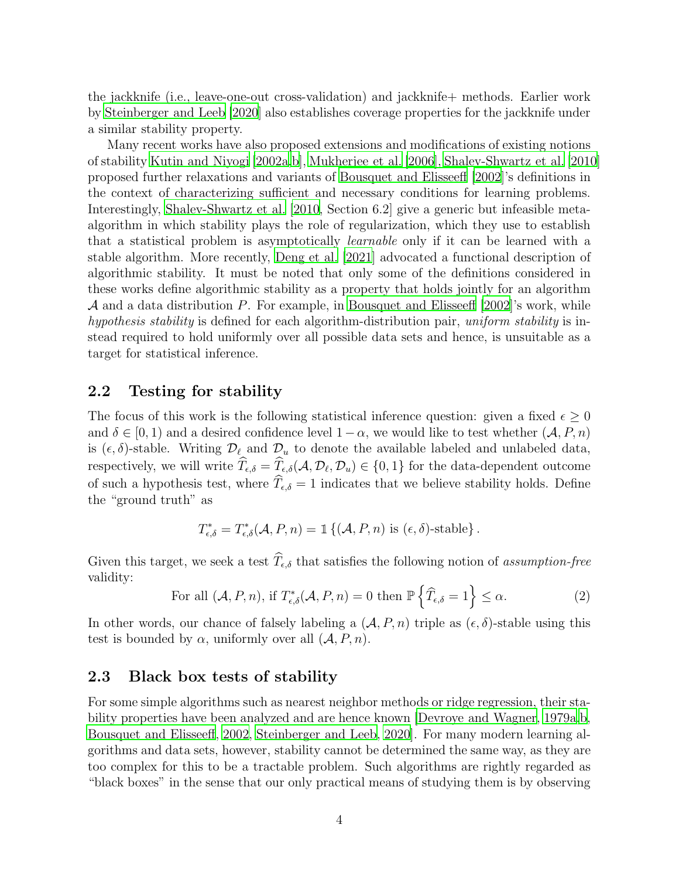the jackknife (i.e., leave-one-out cross-validation) and jackknife+ methods. Earlier work by [Steinberger and Leeb \[2020\]](#page-15-1) also establishes coverage properties for the jackknife under a similar stability property.

Many recent works have also proposed extensions and modifications of existing notions of stability [Kutin and Niyogi \[2002a](#page-15-2)[,b\]](#page-15-3), [Mukherjee et al. \[2006\]](#page-15-4), [Shalev-Shwartz et al. \[2010](#page-15-5)] proposed further relaxations and variants of [Bousquet and Elisseeff \[2002](#page-14-0)]'s definitions in the context of characterizing sufficient and necessary conditions for learning problems. Interestingly, [Shalev-Shwartz et al. \[2010](#page-15-5), Section 6.2] give a generic but infeasible metaalgorithm in which stability plays the role of regularization, which they use to establish that a statistical problem is asymptotically learnable only if it can be learned with a stable algorithm. More recently, [Deng et al. \[2021\]](#page-14-5) advocated a functional description of algorithmic stability. It must be noted that only some of the definitions considered in these works define algorithmic stability as a property that holds jointly for an algorithm  $\mathcal A$  and a data distribution P. For example, in [Bousquet and Elisseeff \[2002\]](#page-14-0)'s work, while hypothesis stability is defined for each algorithm-distribution pair, uniform stability is instead required to hold uniformly over all possible data sets and hence, is unsuitable as a target for statistical inference.

### 2.2 Testing for stability

The focus of this work is the following statistical inference question: given a fixed  $\epsilon > 0$ and  $\delta \in [0, 1)$  and a desired confidence level  $1-\alpha$ , we would like to test whether  $(\mathcal{A}, P, n)$ is  $(\epsilon, \delta)$ -stable. Writing  $\mathcal{D}_{\ell}$  and  $\mathcal{D}_{u}$  to denote the available labeled and unlabeled data, respectively, we will write  $T_{\epsilon,\delta} = T_{\epsilon,\delta}(\mathcal{A}, \mathcal{D}_{\ell}, \mathcal{D}_{u}) \in \{0,1\}$  for the data-dependent outcome of such a hypothesis test, where  $\widehat{T}_{\epsilon,\delta} = 1$  indicates that we believe stability holds. Define the "ground truth" as

$$
T_{\epsilon,\delta}^* = T_{\epsilon,\delta}^*(\mathcal{A}, P, n) = \mathbb{1}\left\{(\mathcal{A}, P, n) \text{ is } (\epsilon, \delta)\text{-stable}\right\}.
$$

Given this target, we seek a test  $\widehat{T}_{\epsilon,\delta}$  that satisfies the following notion of assumption-free validity:

<span id="page-3-0"></span>For all 
$$
(\mathcal{A}, P, n)
$$
, if  $T_{\epsilon,\delta}^*(\mathcal{A}, P, n) = 0$  then  $\mathbb{P}\left\{\widehat{T}_{\epsilon,\delta} = 1\right\} \leq \alpha.$  (2)

In other words, our chance of falsely labeling a  $(A, P, n)$  triple as  $(\epsilon, \delta)$ -stable using this test is bounded by  $\alpha$ , uniformly over all  $(\mathcal{A}, P, n)$ .

### 2.3 Black box tests of stability

For some simple algorithms such as nearest neighbor methods or ridge regression, their stability properties have been analyzed and are hence known [\[Devroye and Wagner](#page-14-1), [1979a](#page-14-1)[,b,](#page-14-2) [Bousquet and Elisseeff](#page-14-0), [2002,](#page-14-0) [Steinberger and Leeb, 2020\]](#page-15-1). For many modern learning algorithms and data sets, however, stability cannot be determined the same way, as they are too complex for this to be a tractable problem. Such algorithms are rightly regarded as "black boxes" in the sense that our only practical means of studying them is by observing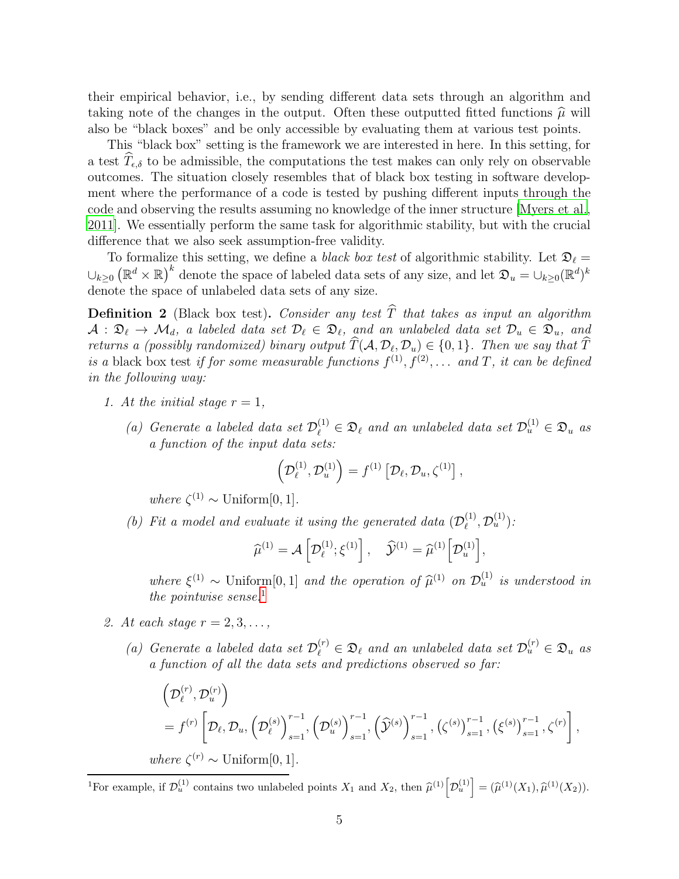their empirical behavior, i.e., by sending different data sets through an algorithm and taking note of the changes in the output. Often these outputted fitted functions  $\hat{\mu}$  will also be "black boxes" and be only accessible by evaluating them at various test points.

This "black box" setting is the framework we are interested in here. In this setting, for a test  $\hat{T}_{\epsilon,\delta}$  to be admissible, the computations the test makes can only rely on observable outcomes. The situation closely resembles that of black box testing in software development where the performance of a code is tested by pushing different inputs through the code and observing the results assuming no knowledge of the inner structure [\[Myers et al.,](#page-15-6) [2011\]](#page-15-6). We essentially perform the same task for algorithmic stability, but with the crucial difference that we also seek assumption-free validity.

To formalize this setting, we define a *black box test* of algorithmic stability. Let  $\mathfrak{D}_{\ell}$  $\cup_{k\geq 0} (\mathbb{R}^d \times \mathbb{R})^k$  denote the space of labeled data sets of any size, and let  $\mathfrak{D}_u = \cup_{k\geq 0} (\mathbb{R}^d)^k$ denote the space of unlabeled data sets of any size.

<span id="page-4-0"></span>**Definition 2** (Black box test). Consider any test  $\widehat{T}$  that takes as input an algorithm  $A: \mathfrak{D}_\ell \to \mathcal{M}_d$ , a labeled data set  $\mathcal{D}_\ell \in \mathfrak{D}_\ell$ , and an unlabeled data set  $\mathcal{D}_u \in \mathfrak{D}_u$ , and returns a (possibly randomized) binary output  $T(A, \mathcal{D}_{\ell}, \mathcal{D}_{u}) \in \{0, 1\}$ . Then we say that T is a black box test if for some measurable functions  $f^{(1)}, f^{(2)}, \ldots$  and T, it can be defined in the following way:

- 1. At the initial stage  $r = 1$ ,
	- (a) Generate a labeled data set  $\mathcal{D}_{\ell}^{(1)} \in \mathfrak{D}_{\ell}$  and an unlabeled data set  $\mathcal{D}_{u}^{(1)} \in \mathfrak{D}_{u}$  as a function of the input data sets:

$$
\left(\mathcal{D}_{\ell}^{(1)},\mathcal{D}_{u}^{(1)}\right)=f^{(1)}\left[\mathcal{D}_{\ell},\mathcal{D}_{u},\zeta^{(1)}\right],
$$

where  $\zeta^{(1)} \sim$  Uniform[0, 1].

(b) Fit a model and evaluate it using the generated data  $(\mathcal{D}_{\ell}^{(1)})$  $\mathcal{D}_\ell^{(1)}, \mathcal{D}_u^{(1)})$  :

$$
\widehat{\mu}^{(1)} = \mathcal{A}\left[\mathcal{D}_{\ell}^{(1)}; \xi^{(1)}\right], \quad \widehat{\mathcal{Y}}^{(1)} = \widehat{\mu}^{(1)}\left[\mathcal{D}_{u}^{(1)}\right],
$$

where  $\xi^{(1)} \sim$  Uniform [0, 1] and the operation of  $\hat{\mu}^{(1)}$  on  $\mathcal{D}_u^{(1)}$  is understood in the pointwise sense.<sup>1</sup>

- 2. At each stage  $r = 2, 3, \ldots$ ,
	- (a) Generate a labeled data set  $\mathcal{D}_{\ell}^{(r)} \in \mathfrak{D}_{\ell}$  and an unlabeled data set  $\mathcal{D}_{u}^{(r)} \in \mathfrak{D}_{u}$  as a function of all the data sets and predictions observed so far:

$$
\left(\mathcal{D}_{\ell}^{(r)}, \mathcal{D}_{u}^{(r)}\right)
$$
\n
$$
= f^{(r)}\left[\mathcal{D}_{\ell}, \mathcal{D}_{u}, \left(\mathcal{D}_{\ell}^{(s)}\right)_{s=1}^{r-1}, \left(\mathcal{D}_{u}^{(s)}\right)_{s=1}^{r-1}, \left(\widehat{\mathcal{Y}}^{(s)}\right)_{s=1}^{r-1}, \left(\zeta^{(s)}\right)_{s=1}^{r-1}, \left(\xi^{(s)}\right)_{s=1}^{r-1}, \zeta^{(r)}\right],
$$
\nwhere  $\zeta^{(r)} \sim \text{Uniform}[0, 1].$ 

<sup>1</sup>For example, if  $\mathcal{D}_u^{(1)}$  contains two unlabeled points  $X_1$  and  $X_2$ , then  $\widehat{\mu}^{(1)}\left[\mathcal{D}_u^{(1)}\right] = (\widehat{\mu}^{(1)}(X_1), \widehat{\mu}^{(1)}(X_2)).$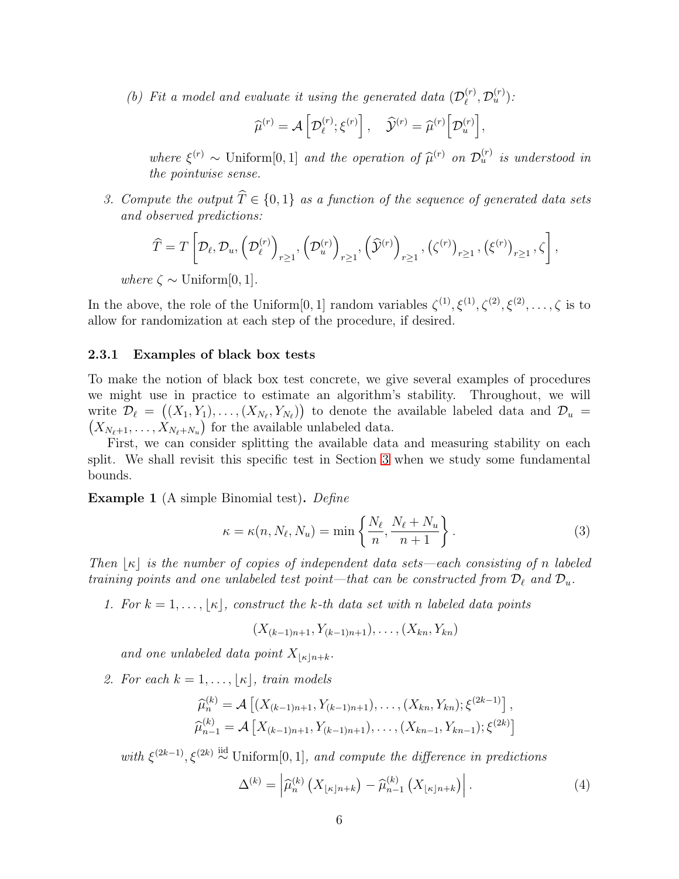(b) Fit a model and evaluate it using the generated data  $(\mathcal{D}_{\ell}^{(r)})$  $l_{\ell}^{(r)}, \mathcal{D}_{u}^{(r)}$  ) :

$$
\widehat{\mu}^{(r)} = \mathcal{A}\left[\mathcal{D}_{\ell}^{(r)}; \xi^{(r)}\right], \quad \widehat{\mathcal{Y}}^{(r)} = \widehat{\mu}^{(r)}\left[\mathcal{D}_{u}^{(r)}\right],
$$

where  $\xi^{(r)} \sim$  Uniform[0,1] and the operation of  $\widehat{\mu}^{(r)}$  on  $\mathcal{D}_u^{(r)}$  is understood in the pointwise sense.

3. Compute the output  $\widehat{T} \in \{0, 1\}$  as a function of the sequence of generated data sets and observed predictions:

$$
\widehat{T}=T\left[\mathcal{D}_{\ell},\mathcal{D}_{u},\left(\mathcal{D}_{\ell}^{(r)}\right)_{r\geq 1},\left(\mathcal{D}_{u}^{(r)}\right)_{r\geq 1},\left(\widehat{\mathcal{Y}}^{(r)}\right)_{r\geq 1},\left(\zeta^{(r)}\right)_{r\geq 1},\left(\xi^{(r)}\right)_{r\geq 1},\zeta\right],
$$

where  $\zeta \sim$  Uniform[0, 1].

In the above, the role of the Uniform [0, 1] random variables  $\zeta^{(1)}, \zeta^{(1)}, \zeta^{(2)}, \zeta^{(2)}, \ldots, \zeta$  is to allow for randomization at each step of the procedure, if desired.

#### 2.3.1 Examples of black box tests

To make the notion of black box test concrete, we give several examples of procedures we might use in practice to estimate an algorithm's stability. Throughout, we will write  $\mathcal{D}_{\ell} = ((X_1, Y_1), \dots, (X_{N_{\ell}}, Y_{N_{\ell}}))$  to denote the available labeled data and  $\mathcal{D}_{u} = (X_{N_{\ell+1}}, \dots, X_{N_{\ell+N_{\ell}}})$  for the available unlabeled data.  $X_{N_{\ell}+1}, \ldots, X_{N_{\ell}+N_u}$  for the available unlabeled data.

First, we can consider splitting the available data and measuring stability on each split. We shall revisit this specific test in Section [3](#page-7-0) when we study some fundamental bounds.

<span id="page-5-0"></span>Example 1 (A simple Binomial test). Define

<span id="page-5-2"></span>
$$
\kappa = \kappa(n, N_{\ell}, N_u) = \min\left\{\frac{N_{\ell}}{n}, \frac{N_{\ell} + N_u}{n+1}\right\}.
$$
\n(3)

Then  $\vert \kappa \vert$  is the number of copies of independent data sets—each consisting of n labeled training points and one unlabeled test point—that can be constructed from  $\mathcal{D}_{\ell}$  and  $\mathcal{D}_{u}$ .

1. For  $k = 1, \ldots, |\kappa|$ , construct the k-th data set with n labeled data points

$$
(X_{(k-1)n+1}, Y_{(k-1)n+1}), \ldots, (X_{kn}, Y_{kn})
$$

and one unlabeled data point  $X_{\lvert\kappa\rvert n+k}$ .

2. For each  $k = 1, \ldots, |\kappa|$ , train models

$$
\widehat{\mu}_n^{(k)} = \mathcal{A}\left[ (X_{(k-1)n+1}, Y_{(k-1)n+1}), \dots, (X_{kn}, Y_{kn}); \xi^{(2k-1)} \right],
$$
  

$$
\widehat{\mu}_{n-1}^{(k)} = \mathcal{A}\left[ X_{(k-1)n+1}, Y_{(k-1)n+1}), \dots, (X_{kn-1}, Y_{kn-1}); \xi^{(2k)} \right]
$$

with  $\xi^{(2k-1)}$ ,  $\xi^{(2k)} \stackrel{iid}{\sim}$  Uniform[0, 1], and compute the difference in predictions

<span id="page-5-1"></span>
$$
\Delta^{(k)} = \left| \widehat{\mu}_n^{(k)} \left( X_{\lfloor \kappa \rfloor n + k} \right) - \widehat{\mu}_{n-1}^{(k)} \left( X_{\lfloor \kappa \rfloor n + k} \right) \right|.
$$
 (4)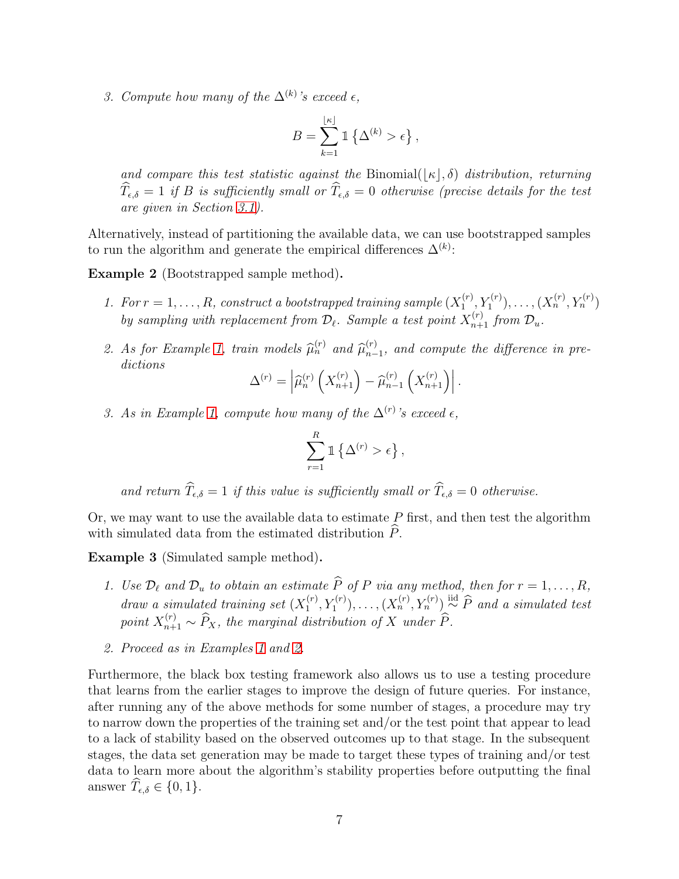3. Compute how many of the  $\Delta^{(k)}$ 's exceed  $\epsilon$ ,

$$
B = \sum_{k=1}^{\lfloor \kappa \rfloor} \mathbbm{1} \left\{ \Delta^{(k)} > \epsilon \right\},\,
$$

and compare this test statistic against the Binomial( $|\kappa|, \delta$ ) distribution, returning  $\widehat{T}_{\epsilon,\delta} = 1$  if B is sufficiently small or  $\widehat{T}_{\epsilon,\delta} = 0$  otherwise (precise details for the test are given in Section [3.1\)](#page-7-1).

Alternatively, instead of partitioning the available data, we can use bootstrapped samples to run the algorithm and generate the empirical differences  $\Delta^{(k)}$ :

<span id="page-6-0"></span>Example 2 (Bootstrapped sample method).

- 1. For  $r = 1, \ldots, R$ , construct a bootstrapped training sample  $(X_1^{(r)})$  $\{X_1^{(r)}, Y_1^{(r)}\}, \ldots, (X_n^{(r)}, Y_n^{(r)})$ by sampling with replacement from  $\mathcal{D}_{\ell}$ . Sample a test point  $X_{n+1}^{(r)}$  from  $\mathcal{D}_{u}$ .
- 2. As for Example [1,](#page-5-0) train models  $\widehat{\mu}_n^{(r)}$  and  $\widehat{\mu}_{n-1}^{(r)}$  $_{n-1}^{(r)}$ , and compute the difference in predictions

$$
\Delta^{(r)} = \left| \widehat{\mu}_n^{(r)} \left( X_{n+1}^{(r)} \right) - \widehat{\mu}_{n-1}^{(r)} \left( X_{n+1}^{(r)} \right) \right|.
$$

3. As in Example [1,](#page-5-0) compute how many of the  $\Delta^{(r)}$ 's exceed  $\epsilon$ ,

$$
\sum_{r=1}^R 1 \{\Delta^{(r)} > \epsilon\},\,
$$

and return  $\widehat{T}_{\epsilon,\delta} = 1$  if this value is sufficiently small or  $\widehat{T}_{\epsilon,\delta} = 0$  otherwise.

Or, we may want to use the available data to estimate  $P$  first, and then test the algorithm with simulated data from the estimated distribution  $P$ .

<span id="page-6-1"></span>Example 3 (Simulated sample method).

- 1. Use  $\mathcal{D}_{\ell}$  and  $\mathcal{D}_{u}$  to obtain an estimate  $\widehat{P}$  of P via any method, then for  $r = 1, \ldots, R$ , draw a simulated training set  $(X_1^{(r)})$  $\binom{(r)}{1},\binom{(r)}{1},\ldots,\binom{(X_n^{(r)},Y_n^{(r)})}{\sim}$   $\widehat{P}$  and a simulated test point  $X_{n+1}^{(r)} \sim \widehat{P}_X$ , the marginal distribution of X under  $\widehat{P}_A$ .
- 2. Proceed as in Examples [1](#page-5-0) and [2.](#page-6-0)

Furthermore, the black box testing framework also allows us to use a testing procedure that learns from the earlier stages to improve the design of future queries. For instance, after running any of the above methods for some number of stages, a procedure may try to narrow down the properties of the training set and/or the test point that appear to lead to a lack of stability based on the observed outcomes up to that stage. In the subsequent stages, the data set generation may be made to target these types of training and/or test data to learn more about the algorithm's stability properties before outputting the final answer  $\widehat{T}_{\epsilon,\delta} \in \{0,1\}.$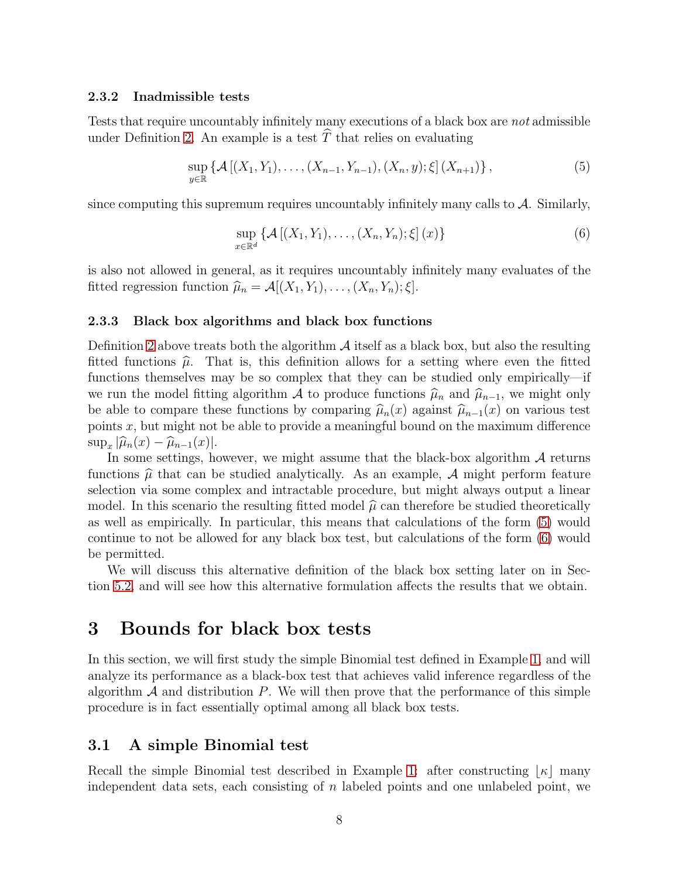#### 2.3.2 Inadmissible tests

Tests that require uncountably infinitely many executions of a black box are not admissible under Definition [2.](#page-4-0) An example is a test  $\hat{T}$  that relies on evaluating

<span id="page-7-2"></span>
$$
\sup_{y \in \mathbb{R}} \left\{ \mathcal{A} \left[ (X_1, Y_1), \dots, (X_{n-1}, Y_{n-1}), (X_n, y); \xi \right] (X_{n+1}) \right\},\tag{5}
$$

since computing this supremum requires uncountably infinitely many calls to  $\mathcal{A}$ . Similarly,

<span id="page-7-3"></span>
$$
\sup_{x \in \mathbb{R}^d} \left\{ \mathcal{A} \left[ (X_1, Y_1), \dots, (X_n, Y_n); \xi \right] (x) \right\} \tag{6}
$$

is also not allowed in general, as it requires uncountably infinitely many evaluates of the fitted regression function  $\widehat{\mu}_n = \mathcal{A}[(X_1, Y_1), \ldots, (X_n, Y_n); \xi].$ 

#### <span id="page-7-4"></span>2.3.3 Black box algorithms and black box functions

Definition [2](#page-4-0) above treats both the algorithm  $\mathcal A$  itself as a black box, but also the resulting fitted functions  $\hat{\mu}$ . That is, this definition allows for a setting where even the fitted functions themselves may be so complex that they can be studied only empirically—if we run the model fitting algorithm A to produce functions  $\hat{\mu}_n$  and  $\hat{\mu}_{n-1}$ , we might only be able to compare these functions by comparing  $\hat{\mu}_n(x)$  against  $\hat{\mu}_{n-1}(x)$  on various test points  $x$ , but might not be able to provide a meaningful bound on the maximum difference  $\sup_x |\widehat{\mu}_n(x) - \widehat{\mu}_{n-1}(x)|.$ 

In some settings, however, we might assume that the black-box algorithm  $A$  returns functions  $\hat{\mu}$  that can be studied analytically. As an example, A might perform feature selection via some complex and intractable procedure, but might always output a linear model. In this scenario the resulting fitted model  $\hat{\mu}$  can therefore be studied theoretically as well as empirically. In particular, this means that calculations of the form [\(5\)](#page-7-2) would continue to not be allowed for any black box test, but calculations of the form [\(6\)](#page-7-3) would be permitted.

We will discuss this alternative definition of the black box setting later on in Section [5.2,](#page-13-0) and will see how this alternative formulation affects the results that we obtain.

## <span id="page-7-0"></span>3 Bounds for black box tests

In this section, we will first study the simple Binomial test defined in Example [1,](#page-5-0) and will analyze its performance as a black-box test that achieves valid inference regardless of the algorithm  $A$  and distribution  $P$ . We will then prove that the performance of this simple procedure is in fact essentially optimal among all black box tests.

### <span id="page-7-1"></span>3.1 A simple Binomial test

Recall the simple Binomial test described in Example [1:](#page-5-0) after constructing  $\vert \kappa \vert$  many independent data sets, each consisting of  $n$  labeled points and one unlabeled point, we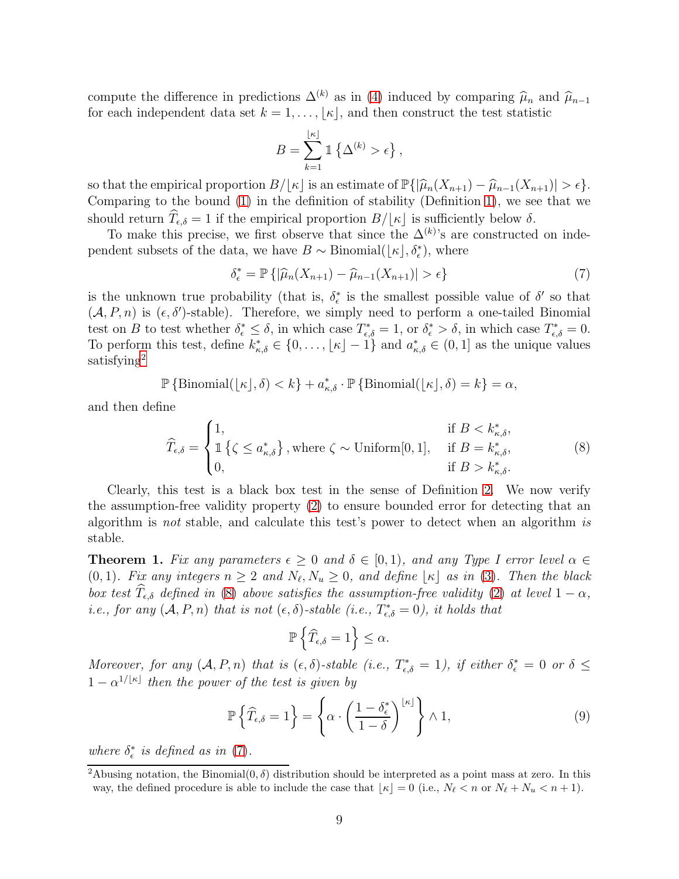compute the difference in predictions  $\Delta^{(k)}$  as in [\(4\)](#page-5-1) induced by comparing  $\hat{\mu}_n$  and  $\hat{\mu}_{n-1}$ for each independent data set  $k = 1, \ldots, |\kappa|$ , and then construct the test statistic

$$
B = \sum_{k=1}^{\lfloor \kappa \rfloor} \mathbb{1} \left\{ \Delta^{(k)} > \epsilon \right\},\,
$$

so that the empirical proportion  $B/[\kappa]$  is an estimate of  $\mathbb{P}\{|\hat{\mu}_n(X_{n+1}) - \hat{\mu}_{n-1}(X_{n+1})| > \epsilon\}.$ Comparing to the bound [\(1\)](#page-2-0) in the definition of stability (Definition [1\)](#page-2-1), we see that we should return  $\hat{T}_{\epsilon,\delta} = 1$  if the empirical proportion  $B/[\kappa]$  is sufficiently below  $\delta$ .

To make this precise, we first observe that since the  $\Delta^{(k)}$ 's are constructed on independent subsets of the data, we have  $B \sim \text{Binomial}(\lfloor \kappa \rfloor, \delta_{\epsilon}^*)$ , where

<span id="page-8-1"></span>
$$
\delta_{\epsilon}^* = \mathbb{P}\left\{ |\widehat{\mu}_n(X_{n+1}) - \widehat{\mu}_{n-1}(X_{n+1})| > \epsilon \right\} \tag{7}
$$

is the unknown true probability (that is,  $\delta_{\epsilon}^*$  is the smallest possible value of  $\delta'$  so that  $(A, P, n)$  is  $(\epsilon, \delta')$ -stable). Therefore, we simply need to perform a one-tailed Binomial test on B to test whether  $\delta_{\epsilon}^* \leq \delta$ , in which case  $T_{\epsilon,\delta}^* = 1$ , or  $\delta_{\epsilon}^* > \delta$ , in which case  $T_{\epsilon,\delta}^* = 0$ . To perform this test, define  $k_{\kappa,\delta}^* \in \{0,\ldots,\lfloor \kappa \rfloor - 1\}$  and  $a_{\kappa,\delta}^* \in (0,1]$  as the unique values satisfying<sup>2</sup>

$$
\mathbb{P}\left\{\text{Binomial}(\lfloor \kappa \rfloor, \delta) < k\right\} + a^*_{\kappa, \delta} \cdot \mathbb{P}\left\{\text{Binomial}(\lfloor \kappa \rfloor, \delta) = k\right\} = \alpha,
$$

and then define

<span id="page-8-0"></span>
$$
\widehat{T}_{\epsilon,\delta} = \begin{cases}\n1, & \text{if } B < k_{\kappa,\delta}^*, \\
\mathbb{1}\left\{\zeta \le a_{\kappa,\delta}^*\right\}, \text{where } \zeta \sim \text{Uniform}[0,1], & \text{if } B = k_{\kappa,\delta}^*, \\
0, & \text{if } B > k_{\kappa,\delta}^*.\n\end{cases}
$$
\n(8)

Clearly, this test is a black box test in the sense of Definition [2.](#page-4-0) We now verify the assumption-free validity property [\(2\)](#page-3-0) to ensure bounded error for detecting that an algorithm is not stable, and calculate this test's power to detect when an algorithm is stable.

<span id="page-8-3"></span>**Theorem 1.** Fix any parameters  $\epsilon \geq 0$  and  $\delta \in [0,1)$ , and any Type I error level  $\alpha \in$  $(0, 1)$ . Fix any integers  $n \geq 2$  and  $N_{\ell}, N_u \geq 0$ , and define  $\lfloor \kappa \rfloor$  as in [\(3\)](#page-5-2). Then the black box test  $\widehat{T}_{\epsilon,\delta}$  defined in [\(8\)](#page-8-0) above satisfies the assumption-free validity [\(2\)](#page-3-0) at level  $1 - \alpha$ , *i.e.*, for any  $(A, P, n)$  that is not  $(\epsilon, \delta)$ -stable (i.e.,  $T^*_{\epsilon, \delta} = 0$ ), it holds that

$$
\mathbb{P}\left\{\widehat T_{\epsilon,\delta}=1\right\}\leq \alpha.
$$

Moreover, for any  $(A, P, n)$  that is  $(\epsilon, \delta)$ -stable (i.e.,  $T_{\epsilon, \delta}^* = 1$ ), if either  $\delta_{\epsilon}^* = 0$  or  $\delta \leq$  $1 - \alpha^{1/\lfloor \kappa \rfloor}$  then the power of the test is given by

<span id="page-8-2"></span>
$$
\mathbb{P}\left\{\widehat{T}_{\epsilon,\delta}=1\right\} = \left\{\alpha \cdot \left(\frac{1-\delta_{\epsilon}^{*}}{1-\delta}\right)^{\lfloor \kappa \rfloor}\right\} \wedge 1, \tag{9}
$$

where  $\delta_{\epsilon}^{*}$  is defined as in [\(7\)](#page-8-1).

<sup>&</sup>lt;sup>2</sup>Abusing notation, the Binomial $(0, \delta)$  distribution should be interpreted as a point mass at zero. In this way, the defined procedure is able to include the case that  $\lfloor \kappa \rfloor = 0$  (i.e.,  $N_{\ell} < n$  or  $N_{\ell} + N_{u} < n + 1$ ).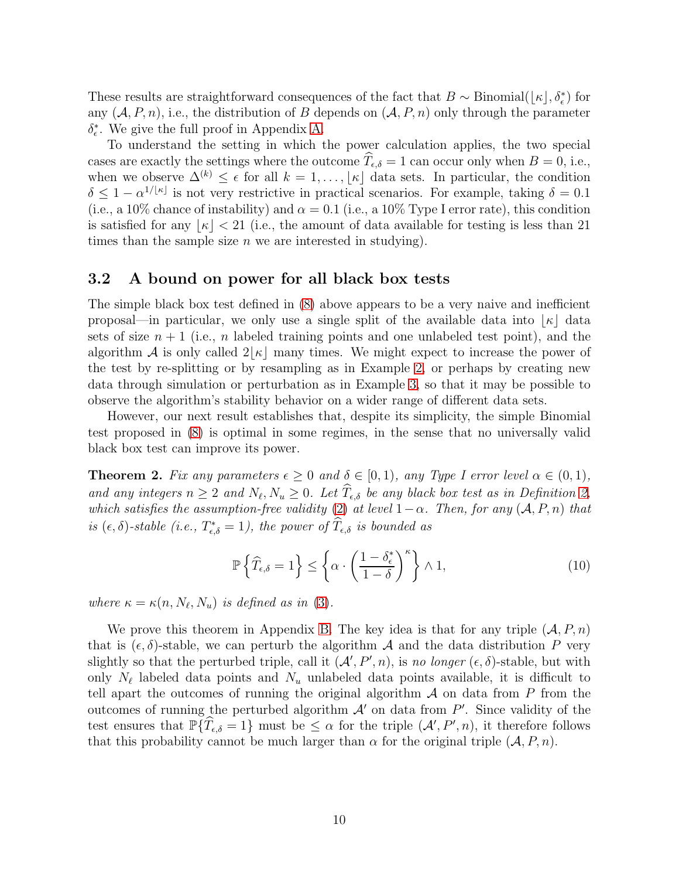These results are straightforward consequences of the fact that  $B \sim \text{Binomial}(\lfloor \kappa \rfloor, \delta_{\epsilon}^*)$  for any  $(\mathcal{A}, P, n)$ , i.e., the distribution of B depends on  $(\mathcal{A}, P, n)$  only through the parameter  $\delta_{\epsilon}^*$ . We give the full proof in Appendix [A.](#page-15-7)

To understand the setting in which the power calculation applies, the two special cases are exactly the settings where the outcome  $T_{\epsilon,\delta} = 1$  can occur only when  $B = 0$ , i.e., when we observe  $\Delta^{(k)} \leq \epsilon$  for all  $k = 1, \ldots, |\kappa|$  data sets. In particular, the condition  $\delta \leq 1 - \alpha^{1/|\kappa|}$  is not very restrictive in practical scenarios. For example, taking  $\delta = 0.1$ (i.e., a 10% chance of instability) and  $\alpha = 0.1$  (i.e., a 10% Type I error rate), this condition is satisfied for any  $|\kappa| < 21$  (i.e., the amount of data available for testing is less than 21 times than the sample size  $n$  we are interested in studying).

### 3.2 A bound on power for all black box tests

The simple black box test defined in [\(8\)](#page-8-0) above appears to be a very naive and inefficient proposal—in particular, we only use a single split of the available data into  $|\kappa|$  data sets of size  $n+1$  (i.e., n labeled training points and one unlabeled test point), and the algorithm A is only called  $2|\kappa|$  many times. We might expect to increase the power of the test by re-splitting or by resampling as in Example [2,](#page-6-0) or perhaps by creating new data through simulation or perturbation as in Example [3,](#page-6-1) so that it may be possible to observe the algorithm's stability behavior on a wider range of different data sets.

However, our next result establishes that, despite its simplicity, the simple Binomial test proposed in [\(8\)](#page-8-0) is optimal in some regimes, in the sense that no universally valid black box test can improve its power.

<span id="page-9-0"></span>**Theorem 2.** Fix any parameters  $\epsilon \geq 0$  and  $\delta \in [0,1)$ , any Type I error level  $\alpha \in (0,1)$ , and any integers  $n \geq 2$  and  $N_{\ell}, N_u \geq 0$ . Let  $T_{\epsilon,\delta}$  be any black box test as in Definition [2,](#page-4-0) which satisfies the assumption-free validity [\(2\)](#page-3-0) at level  $1-\alpha$ . Then, for any  $(\mathcal{A}, P, n)$  that is  $(\epsilon, \delta)$ -stable (i.e.,  $T_{\epsilon, \delta}^* = 1$ ), the power of  $T_{\epsilon, \delta}$  is bounded as

<span id="page-9-1"></span>
$$
\mathbb{P}\left\{\widehat{T}_{\epsilon,\delta}=1\right\} \leq \left\{\alpha \cdot \left(\frac{1-\delta_{\epsilon}^{*}}{1-\delta}\right)^{\kappa}\right\} \wedge 1, \tag{10}
$$

where  $\kappa = \kappa(n, N_{\ell}, N_u)$  is defined as in [\(3\)](#page-5-2).

We prove this theorem in Appendix [B.](#page-16-0) The key idea is that for any triple  $(A, P, n)$ that is  $(\epsilon, \delta)$ -stable, we can perturb the algorithm A and the data distribution P very slightly so that the perturbed triple, call it  $(\mathcal{A}', P', n)$ , is no longer  $(\epsilon, \delta)$ -stable, but with only  $N_{\ell}$  labeled data points and  $N_{u}$  unlabeled data points available, it is difficult to tell apart the outcomes of running the original algorithm  $A$  on data from  $P$  from the outcomes of running the perturbed algorithm  $\mathcal{A}'$  on data from  $P'$ . Since validity of the test ensures that  $\mathbb{P}\{\hat{T}_{\epsilon,\delta} = 1\}$  must be  $\leq \alpha$  for the triple  $(\mathcal{A}', P', n)$ , it therefore follows that this probability cannot be much larger than  $\alpha$  for the original triple  $(A, P, n)$ .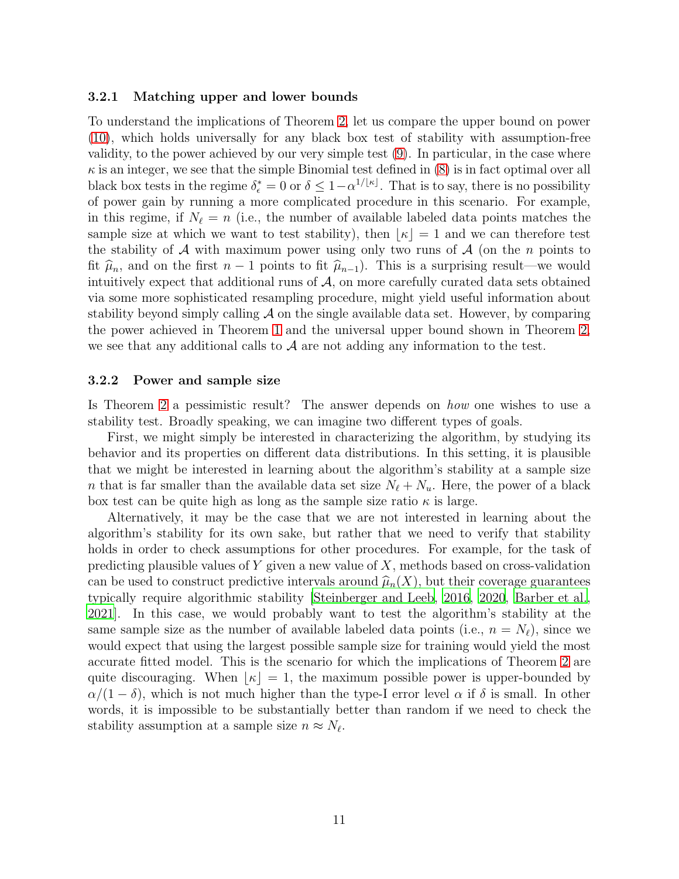#### 3.2.1 Matching upper and lower bounds

To understand the implications of Theorem [2,](#page-9-0) let us compare the upper bound on power [\(10\)](#page-9-1), which holds universally for any black box test of stability with assumption-free validity, to the power achieved by our very simple test [\(9\)](#page-8-2). In particular, in the case where  $\kappa$  is an integer, we see that the simple Binomial test defined in [\(8\)](#page-8-0) is in fact optimal over all black box tests in the regime  $\delta_{\epsilon}^* = 0$  or  $\delta \leq 1 - \alpha^{1/[\kappa]}$ . That is to say, there is no possibility of power gain by running a more complicated procedure in this scenario. For example, in this regime, if  $N_{\ell} = n$  (i.e., the number of available labeled data points matches the sample size at which we want to test stability), then  $|\kappa| = 1$  and we can therefore test the stability of  $A$  with maximum power using only two runs of  $A$  (on the n points to fit  $\hat{\mu}_n$ , and on the first  $n-1$  points to fit  $\hat{\mu}_{n-1}$ ). This is a surprising result—we would intuitively expect that additional runs of  $A$ , on more carefully curated data sets obtained via some more sophisticated resampling procedure, might yield useful information about stability beyond simply calling  $\mathcal A$  on the single available data set. However, by comparing the power achieved in Theorem [1](#page-8-3) and the universal upper bound shown in Theorem [2,](#page-9-0) we see that any additional calls to  $A$  are not adding any information to the test.

#### 3.2.2 Power and sample size

Is Theorem [2](#page-9-0) a pessimistic result? The answer depends on how one wishes to use a stability test. Broadly speaking, we can imagine two different types of goals.

First, we might simply be interested in characterizing the algorithm, by studying its behavior and its properties on different data distributions. In this setting, it is plausible that we might be interested in learning about the algorithm's stability at a sample size n that is far smaller than the available data set size  $N_{\ell} + N_{u}$ . Here, the power of a black box test can be quite high as long as the sample size ratio  $\kappa$  is large.

Alternatively, it may be the case that we are not interested in learning about the algorithm's stability for its own sake, but rather that we need to verify that stability holds in order to check assumptions for other procedures. For example, for the task of predicting plausible values of Y given a new value of  $X$ , methods based on cross-validation can be used to construct predictive intervals around  $\hat{\mu}_n(X)$ , but their coverage guarantees typically require algorithmic stability [\[Steinberger and Leeb, 2016,](#page-15-8) [2020,](#page-15-1) [Barber et al.,](#page-14-4) [2021\]](#page-14-4). In this case, we would probably want to test the algorithm's stability at the same sample size as the number of available labeled data points (i.e.,  $n = N_{\ell}$ ), since we would expect that using the largest possible sample size for training would yield the most accurate fitted model. This is the scenario for which the implications of Theorem [2](#page-9-0) are quite discouraging. When  $|\kappa|=1$ , the maximum possible power is upper-bounded by  $\alpha/(1-\delta)$ , which is not much higher than the type-I error level  $\alpha$  if  $\delta$  is small. In other words, it is impossible to be substantially better than random if we need to check the stability assumption at a sample size  $n \approx N_{\ell}$ .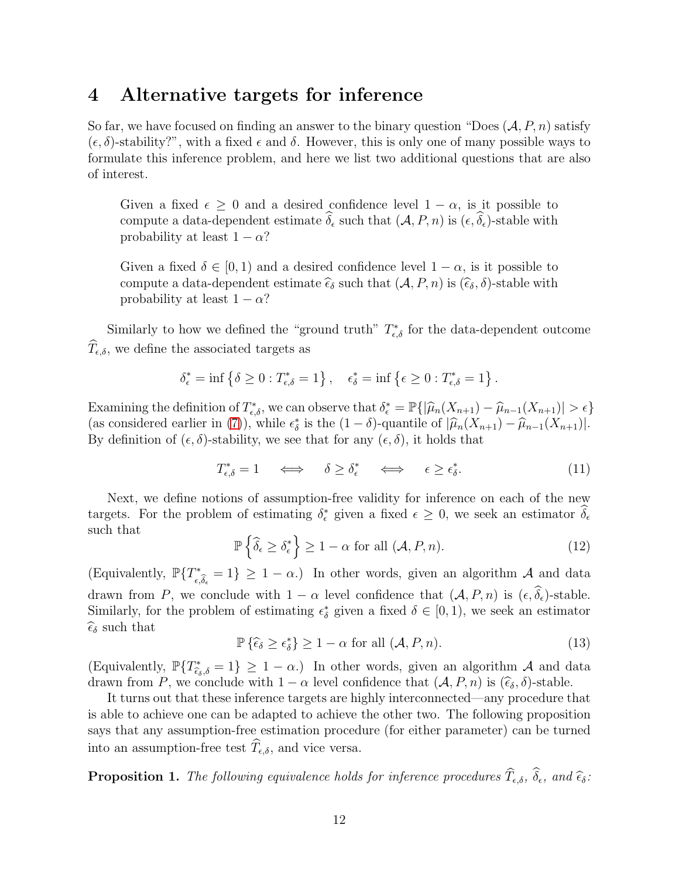## 4 Alternative targets for inference

So far, we have focused on finding an answer to the binary question "Does  $(\mathcal{A}, P, n)$  satisfy  $(\epsilon, \delta)$ -stability?", with a fixed  $\epsilon$  and  $\delta$ . However, this is only one of many possible ways to formulate this inference problem, and here we list two additional questions that are also of interest.

Given a fixed  $\epsilon \geq 0$  and a desired confidence level  $1 - \alpha$ , is it possible to compute a data-dependent estimate  $\delta_{\epsilon}$  such that  $(\mathcal{A}, P, n)$  is  $(\epsilon, \delta_{\epsilon})$ -stable with probability at least  $1 - \alpha$ ?

Given a fixed  $\delta \in [0, 1)$  and a desired confidence level  $1 - \alpha$ , is it possible to compute a data-dependent estimate  $\hat{\epsilon}_{\delta}$  such that  $(\mathcal{A}, P, n)$  is  $(\hat{\epsilon}_{\delta}, \delta)$ -stable with probability at least  $1 - \alpha$ ?

Similarly to how we defined the "ground truth"  $T_{\epsilon,\delta}^*$  for the data-dependent outcome  $T_{\epsilon,\delta}$ , we define the associated targets as

$$
\delta_{\epsilon}^* = \inf \left\{ \delta \geq 0 : T_{\epsilon,\delta}^* = 1 \right\}, \quad \epsilon_{\delta}^* = \inf \left\{ \epsilon \geq 0 : T_{\epsilon,\delta}^* = 1 \right\}.
$$

Examining the definition of  $T_{\epsilon,\delta}^*$ , we can observe that  $\delta_{\epsilon}^* = \mathbb{P}\{|\hat{\mu}_n(X_{n+1}) - \hat{\mu}_{n-1}(X_{n+1})| > \epsilon\}$  (as considered earlier in [\(7\)](#page-8-1)), while  $\epsilon_{\delta}^*$  is the  $(1 - \delta)$ -quantile of  $|\hat{\mu}_n(X_{n+1}) - \hat{\mu}_{n-1}(X_{n+1})|$ By definition of  $(\epsilon, \delta)$ -stability, we see that for any  $(\epsilon, \delta)$ , it holds that

$$
T_{\epsilon,\delta}^* = 1 \quad \iff \quad \delta \ge \delta_{\epsilon}^* \quad \iff \quad \epsilon \ge \epsilon_{\delta}^*.
$$

Next, we define notions of assumption-free validity for inference on each of the new targets. For the problem of estimating  $\delta_{\epsilon}^{*}$  given a fixed  $\epsilon \geq 0$ , we seek an estimator  $\delta_{\epsilon}$ such that

<span id="page-11-0"></span>
$$
\mathbb{P}\left\{\widehat{\delta}_{\epsilon} \ge \delta_{\epsilon}^*\right\} \ge 1 - \alpha \text{ for all } (\mathcal{A}, P, n). \tag{12}
$$

(Equivalently,  $\mathbb{P}\{T_{\epsilon,\widehat{\delta}_{\epsilon}}^*=1\}\geq 1-\alpha.$ ) In other words, given an algorithm A and data drawn from P, we conclude with  $1 - \alpha$  level confidence that  $(\mathcal{A}, P, n)$  is  $(\epsilon, \widehat{\delta}_{\epsilon})$ -stable. Similarly, for the problem of estimating  $\epsilon_{\delta}^{*}$  given a fixed  $\delta \in [0,1)$ , we seek an estimator  $\widehat{\epsilon}_{\delta}$  such that

<span id="page-11-1"></span>
$$
\mathbb{P}\left\{\hat{\epsilon}_{\delta} \geq \epsilon_{\delta}^*\right\} \geq 1 - \alpha \text{ for all } (\mathcal{A}, P, n). \tag{13}
$$

(Equivalently,  $\mathbb{P}\{T^*_{\hat{\epsilon}_\delta,\delta}=1\}\geq 1-\alpha.$ ) In other words, given an algorithm A and data drawn from P, we conclude with  $1 - \alpha$  level confidence that  $(A, P, n)$  is  $(\hat{\epsilon}_{\delta}, \delta)$ -stable.

It turns out that these inference targets are highly interconnected—any procedure that is able to achieve one can be adapted to achieve the other two. The following proposition says that any assumption-free estimation procedure (for either parameter) can be turned into an assumption-free test  $\widehat{T}_{\epsilon,\delta}$ , and vice versa.

<span id="page-11-2"></span>**Proposition 1.** The following equivalence holds for inference procedures  $T_{\epsilon,\delta}$ ,  $\delta_{\epsilon}$ , and  $\hat{\epsilon}_{\delta}$ :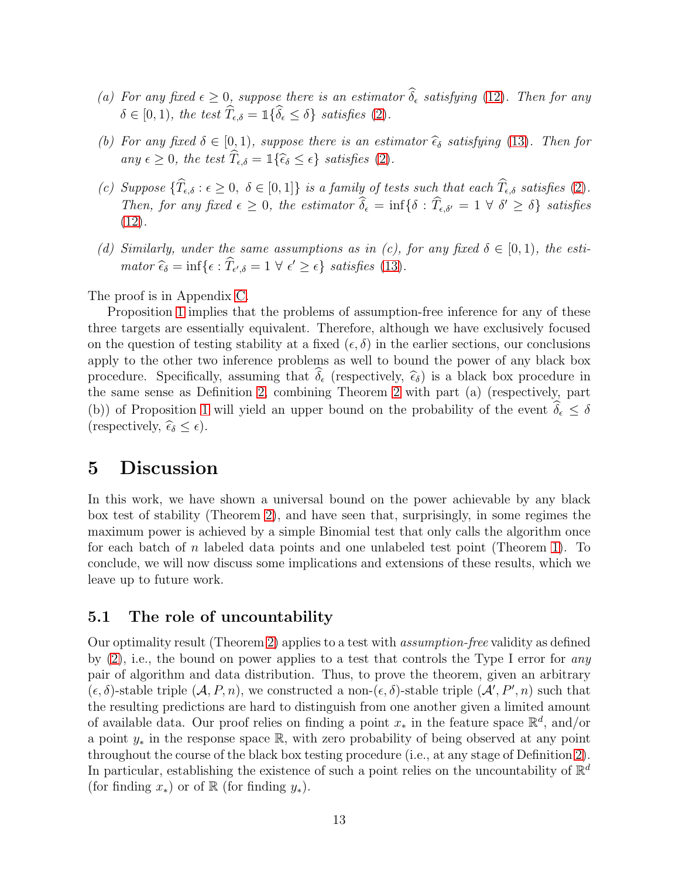- (a) For any fixed  $\epsilon \geq 0$ , suppose there is an estimator  $\delta_{\epsilon}$  satisfying [\(12\)](#page-11-0). Then for any  $\delta \in [0, 1)$ , the test  $\widehat{T}_{\epsilon, \delta} = \mathbb{1} \{ \widehat{\delta}_{\epsilon} \leq \delta \}$  satisfies [\(2\)](#page-3-0).
- (b) For any fixed  $\delta \in [0,1)$ , suppose there is an estimator  $\hat{\epsilon}_{\delta}$  satisfying [\(13\)](#page-11-1). Then for any  $\epsilon \geq 0$ , the test  $\widehat{T}_{\epsilon,\delta} = \mathbb{1}\{\widehat{\epsilon}_{\delta} \leq \epsilon\}$  satisfies [\(2\)](#page-3-0).
- (c) Suppose  $\{\widehat{T}_{\epsilon,\delta} : \epsilon \geq 0, \ \delta \in [0,1]\}$  is a family of tests such that each  $\widehat{T}_{\epsilon,\delta}$  satisfies [\(2\)](#page-3-0). Then, for any fixed  $\epsilon \geq 0$ , the estimator  $\delta_{\epsilon} = \inf \{ \delta : T_{\epsilon, \delta'} = 1 \ \forall \ \delta' \geq \delta \}$  satisfies  $(12).$  $(12).$
- (d) Similarly, under the same assumptions as in (c), for any fixed  $\delta \in [0,1)$ , the estimator  $\widehat{\epsilon}_{\delta} = \inf \{ \epsilon : \widehat{T}_{\epsilon',\delta} = 1 \ \forall \ \epsilon' \geq \epsilon \} \ \text{ satisfies (13)}.$  $\widehat{\epsilon}_{\delta} = \inf \{ \epsilon : \widehat{T}_{\epsilon',\delta} = 1 \ \forall \ \epsilon' \geq \epsilon \} \ \text{ satisfies (13)}.$  $\widehat{\epsilon}_{\delta} = \inf \{ \epsilon : \widehat{T}_{\epsilon',\delta} = 1 \ \forall \ \epsilon' \geq \epsilon \} \ \text{ satisfies (13)}.$

The proof is in Appendix [C.](#page-24-0)

Proposition [1](#page-11-2) implies that the problems of assumption-free inference for any of these three targets are essentially equivalent. Therefore, although we have exclusively focused on the question of testing stability at a fixed  $(\epsilon, \delta)$  in the earlier sections, our conclusions apply to the other two inference problems as well to bound the power of any black box procedure. Specifically, assuming that  $\delta_{\epsilon}$  (respectively,  $\hat{\epsilon}_{\delta}$ ) is a black box procedure in the same sense as Definition [2,](#page-4-0) combining Theorem [2](#page-9-0) with part (a) (respectively, part (b)) of Proposition [1](#page-11-2) will yield an upper bound on the probability of the event  $\hat{\delta}_{\epsilon} \leq \delta$ (respectively,  $\widehat{\epsilon}_{\delta} \leq \epsilon$ ).

## 5 Discussion

In this work, we have shown a universal bound on the power achievable by any black box test of stability (Theorem [2\)](#page-9-0), and have seen that, surprisingly, in some regimes the maximum power is achieved by a simple Binomial test that only calls the algorithm once for each batch of n labeled data points and one unlabeled test point (Theorem [1\)](#page-8-3). To conclude, we will now discuss some implications and extensions of these results, which we leave up to future work.

### 5.1 The role of uncountability

Our optimality result (Theorem [2\)](#page-9-0) applies to a test with assumption-free validity as defined by  $(2)$ , i.e., the bound on power applies to a test that controls the Type I error for any pair of algorithm and data distribution. Thus, to prove the theorem, given an arbitrary  $(\epsilon, \delta)$ -stable triple  $(\mathcal{A}, P, n)$ , we constructed a non- $(\epsilon, \delta)$ -stable triple  $(\mathcal{A}', P', n)$  such that the resulting predictions are hard to distinguish from one another given a limited amount of available data. Our proof relies on finding a point  $x_*$  in the feature space  $\mathbb{R}^d$ , and/or a point  $y_*$  in the response space R, with zero probability of being observed at any point throughout the course of the black box testing procedure (i.e., at any stage of Definition [2\)](#page-4-0). In particular, establishing the existence of such a point relies on the uncountability of  $\mathbb{R}^d$ (for finding  $x_*$ ) or of R (for finding  $y_*$ ).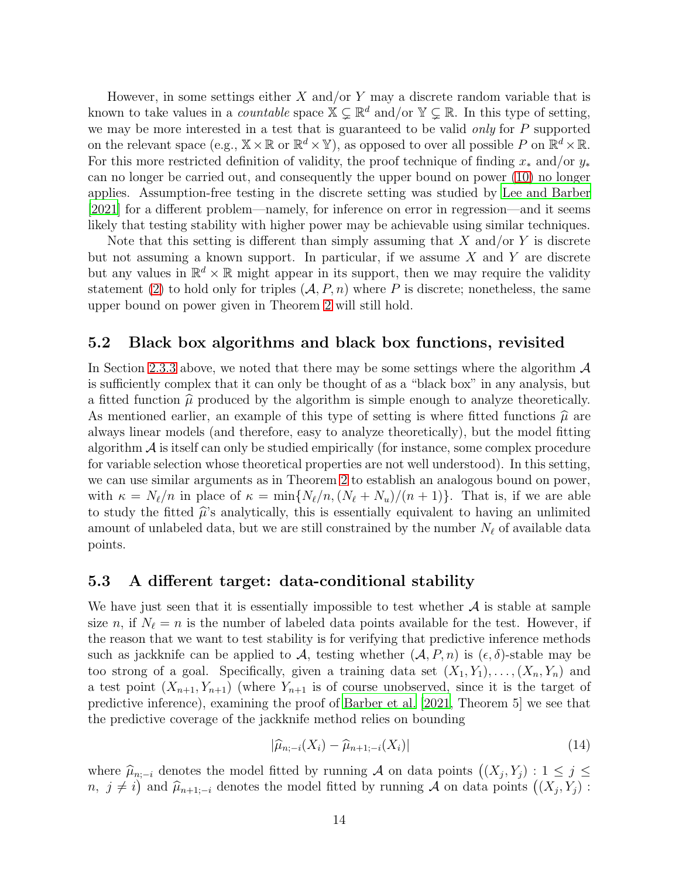However, in some settings either  $X$  and/or  $Y$  may a discrete random variable that is known to take values in a *countable* space  $X \subseteq \mathbb{R}^d$  and/or  $Y \subseteq \mathbb{R}$ . In this type of setting, we may be more interested in a test that is guaranteed to be valid only for  $P$  supported on the relevant space (e.g.,  $\mathbb{X} \times \mathbb{R}$  or  $\mathbb{R}^d \times \mathbb{Y}$ ), as opposed to over all possible P on  $\mathbb{R}^d \times \mathbb{R}$ . For this more restricted definition of validity, the proof technique of finding  $x_*$  and/or  $y_*$ can no longer be carried out, and consequently the upper bound on power [\(10\)](#page-9-1) no longer applies. Assumption-free testing in the discrete setting was studied by [Lee and Barber](#page-15-9) [\[2021\]](#page-15-9) for a different problem—namely, for inference on error in regression—and it seems likely that testing stability with higher power may be achievable using similar techniques.

Note that this setting is different than simply assuming that  $X$  and/or  $Y$  is discrete but not assuming a known support. In particular, if we assume  $X$  and  $Y$  are discrete but any values in  $\mathbb{R}^d \times \mathbb{R}$  might appear in its support, then we may require the validity statement [\(2\)](#page-3-0) to hold only for triples  $(A, P, n)$  where P is discrete; nonetheless, the same upper bound on power given in Theorem [2](#page-9-0) will still hold.

### <span id="page-13-0"></span>5.2 Black box algorithms and black box functions, revisited

In Section [2.3.3](#page-7-4) above, we noted that there may be some settings where the algorithm  $\mathcal A$ is sufficiently complex that it can only be thought of as a "black box" in any analysis, but a fitted function  $\hat{\mu}$  produced by the algorithm is simple enough to analyze theoretically. As mentioned earlier, an example of this type of setting is where fitted functions  $\hat{\mu}$  are always linear models (and therefore, easy to analyze theoretically), but the model fitting algorithm  $\mathcal A$  is itself can only be studied empirically (for instance, some complex procedure for variable selection whose theoretical properties are not well understood). In this setting, we can use similar arguments as in Theorem [2](#page-9-0) to establish an analogous bound on power, with  $\kappa = N_{\ell}/n$  in place of  $\kappa = \min\{N_{\ell}/n,(N_{\ell}+N_u)/(n+1)\}\$ . That is, if we are able to study the fitted  $\hat{\mu}$ 's analytically, this is essentially equivalent to having an unlimited amount of unlabeled data, but we are still constrained by the number  $N_{\ell}$  of available data points.

### 5.3 A different target: data-conditional stability

We have just seen that it is essentially impossible to test whether  $A$  is stable at sample size n, if  $N_{\ell} = n$  is the number of labeled data points available for the test. However, if the reason that we want to test stability is for verifying that predictive inference methods such as jackknife can be applied to A, testing whether  $(A, P, n)$  is  $(\epsilon, \delta)$ -stable may be too strong of a goal. Specifically, given a training data set  $(X_1, Y_1), \ldots, (X_n, Y_n)$  and a test point  $(X_{n+1}, Y_{n+1})$  (where  $Y_{n+1}$  is of course unobserved, since it is the target of predictive inference), examining the proof of [Barber et al. \[2021,](#page-14-4) Theorem 5] we see that the predictive coverage of the jackknife method relies on bounding

<span id="page-13-1"></span>
$$
|\widehat{\mu}_{n;-i}(X_i) - \widehat{\mu}_{n+1;-i}(X_i)| \tag{14}
$$

where  $\widehat{\mu}_{n;-i}$  denotes the model fitted by running A on data points  $((X_j, Y_j) : 1 \leq j \leq j \leq j \leq k-1)$ n,  $j \neq i$  and  $\hat{\mu}_{n+1,-i}$  denotes the model fitted by running A on data points  $((X_j, Y_j)$ :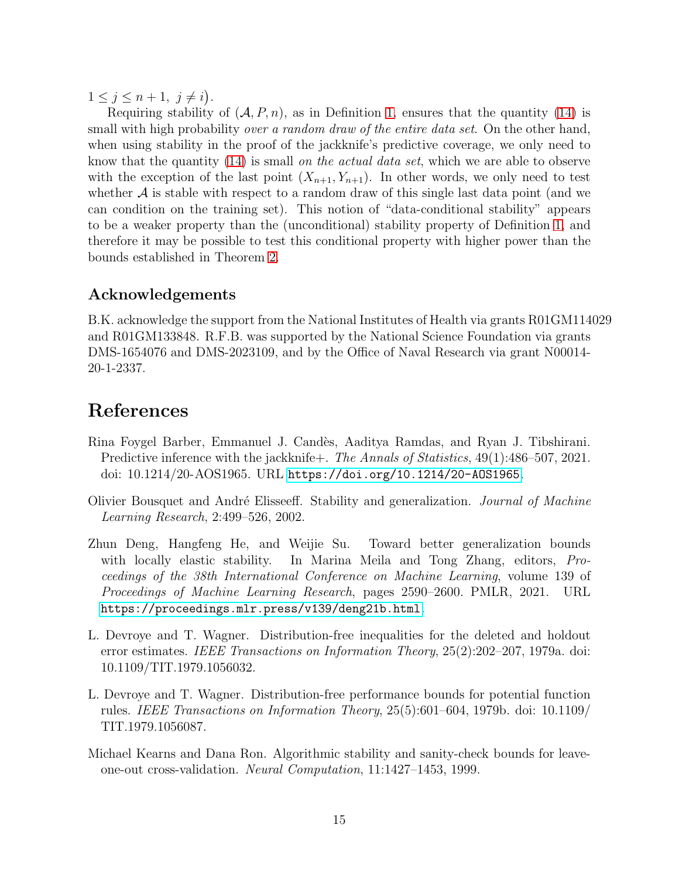$1\leq j\leq n+1, \ j\neq i$ .

Requiring stability of  $(A, P, n)$ , as in Definition [1,](#page-2-1) ensures that the quantity [\(14\)](#page-13-1) is small with high probability over a random draw of the entire data set. On the other hand, when using stability in the proof of the jackknife's predictive coverage, we only need to know that the quantity [\(14\)](#page-13-1) is small on the actual data set, which we are able to observe with the exception of the last point  $(X_{n+1}, Y_{n+1})$ . In other words, we only need to test whether  $\mathcal A$  is stable with respect to a random draw of this single last data point (and we can condition on the training set). This notion of "data-conditional stability" appears to be a weaker property than the (unconditional) stability property of Definition [1,](#page-2-1) and therefore it may be possible to test this conditional property with higher power than the bounds established in Theorem [2.](#page-9-0)

## Acknowledgements

B.K. acknowledge the support from the National Institutes of Health via grants R01GM114029 and R01GM133848. R.F.B. was supported by the National Science Foundation via grants DMS-1654076 and DMS-2023109, and by the Office of Naval Research via grant N00014- 20-1-2337.

# References

- <span id="page-14-4"></span>Rina Foygel Barber, Emmanuel J. Cand`es, Aaditya Ramdas, and Ryan J. Tibshirani. Predictive inference with the jackknife+. The Annals of Statistics, 49(1):486–507, 2021. doi: 10.1214/20-AOS1965. URL <https://doi.org/10.1214/20-AOS1965>.
- <span id="page-14-0"></span>Olivier Bousquet and André Elisseeff. Stability and generalization. *Journal of Machine* Learning Research, 2:499–526, 2002.
- <span id="page-14-5"></span>Zhun Deng, Hangfeng He, and Weijie Su. Toward better generalization bounds with locally elastic stability. In Marina Meila and Tong Zhang, editors, Proceedings of the 38th International Conference on Machine Learning, volume 139 of Proceedings of Machine Learning Research, pages 2590–2600. PMLR, 2021. URL <https://proceedings.mlr.press/v139/deng21b.html>.
- <span id="page-14-1"></span>L. Devroye and T. Wagner. Distribution-free inequalities for the deleted and holdout error estimates. IEEE Transactions on Information Theory, 25(2):202–207, 1979a. doi: 10.1109/TIT.1979.1056032.
- <span id="page-14-2"></span>L. Devroye and T. Wagner. Distribution-free performance bounds for potential function rules. IEEE Transactions on Information Theory, 25(5):601–604, 1979b. doi: 10.1109/ TIT.1979.1056087.
- <span id="page-14-3"></span>Michael Kearns and Dana Ron. Algorithmic stability and sanity-check bounds for leaveone-out cross-validation. Neural Computation, 11:1427–1453, 1999.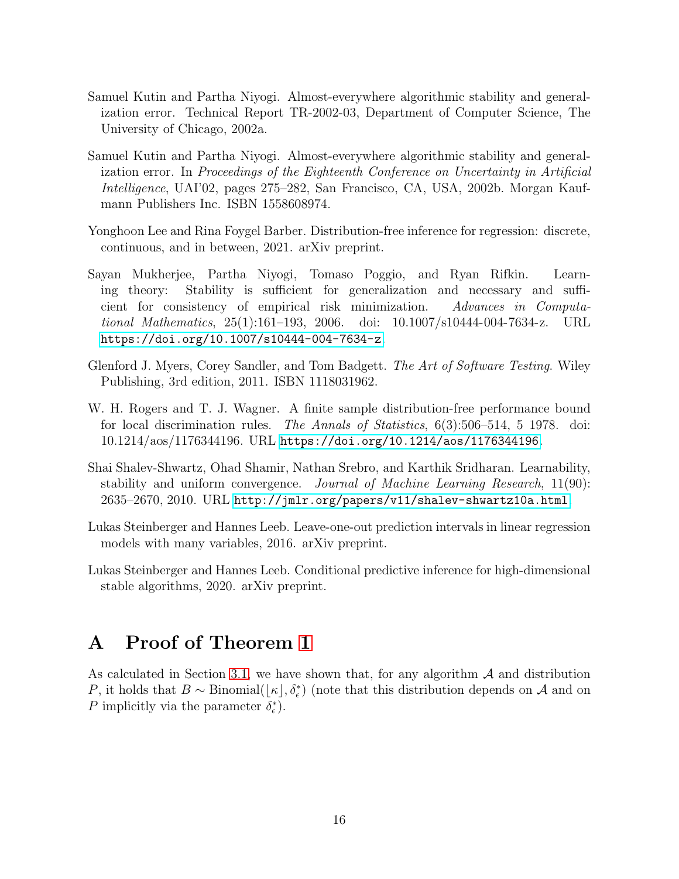- <span id="page-15-2"></span>Samuel Kutin and Partha Niyogi. Almost-everywhere algorithmic stability and generalization error. Technical Report TR-2002-03, Department of Computer Science, The University of Chicago, 2002a.
- <span id="page-15-3"></span>Samuel Kutin and Partha Niyogi. Almost-everywhere algorithmic stability and generalization error. In Proceedings of the Eighteenth Conference on Uncertainty in Artificial Intelligence, UAI'02, pages 275–282, San Francisco, CA, USA, 2002b. Morgan Kaufmann Publishers Inc. ISBN 1558608974.
- <span id="page-15-9"></span>Yonghoon Lee and Rina Foygel Barber. Distribution-free inference for regression: discrete, continuous, and in between, 2021. arXiv preprint.
- <span id="page-15-4"></span>Sayan Mukherjee, Partha Niyogi, Tomaso Poggio, and Ryan Rifkin. Learning theory: Stability is sufficient for generalization and necessary and sufficient for consistency of empirical risk minimization. Advances in Computational Mathematics, 25(1):161–193, 2006. doi: 10.1007/s10444-004-7634-z. URL <https://doi.org/10.1007/s10444-004-7634-z>.
- <span id="page-15-6"></span>Glenford J. Myers, Corey Sandler, and Tom Badgett. The Art of Software Testing. Wiley Publishing, 3rd edition, 2011. ISBN 1118031962.
- <span id="page-15-0"></span>W. H. Rogers and T. J. Wagner. A finite sample distribution-free performance bound for local discrimination rules. The Annals of Statistics, 6(3):506–514, 5 1978. doi: 10.1214/aos/1176344196. URL <https://doi.org/10.1214/aos/1176344196>.
- <span id="page-15-5"></span>Shai Shalev-Shwartz, Ohad Shamir, Nathan Srebro, and Karthik Sridharan. Learnability, stability and uniform convergence. Journal of Machine Learning Research, 11(90): 2635–2670, 2010. URL <http://jmlr.org/papers/v11/shalev-shwartz10a.html>.
- <span id="page-15-8"></span>Lukas Steinberger and Hannes Leeb. Leave-one-out prediction intervals in linear regression models with many variables, 2016. arXiv preprint.
- <span id="page-15-1"></span>Lukas Steinberger and Hannes Leeb. Conditional predictive inference for high-dimensional stable algorithms, 2020. arXiv preprint.

## <span id="page-15-7"></span>A Proof of Theorem [1](#page-8-3)

As calculated in Section [3.1,](#page-7-1) we have shown that, for any algorithm  $A$  and distribution P, it holds that  $B \sim \text{Binomial}(\lfloor \kappa \rfloor, \delta_{\epsilon}^{*})$  (note that this distribution depends on A and on P implicitly via the parameter  $\delta_{\epsilon}^*$ ).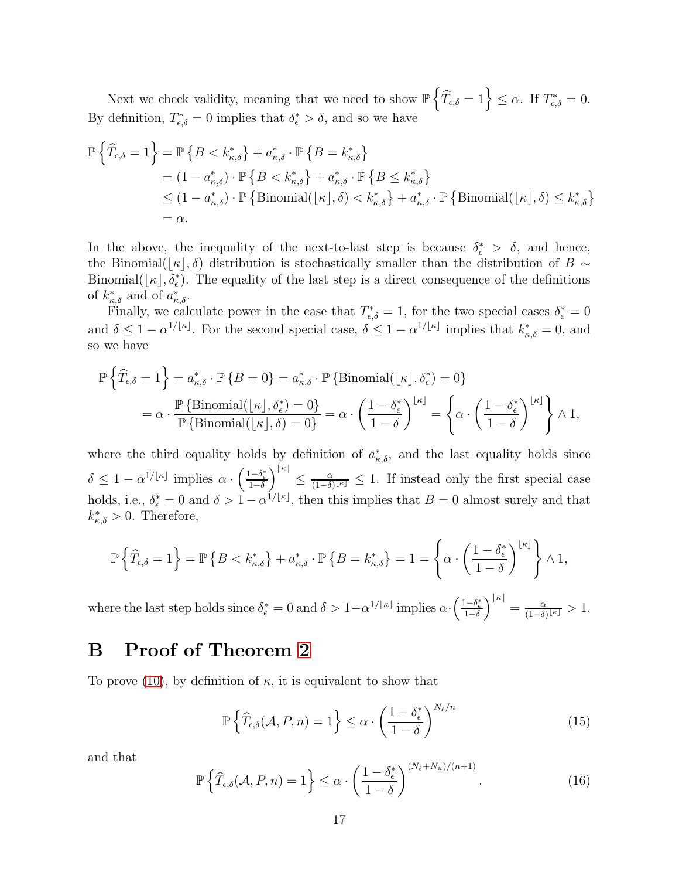Next we check validity, meaning that we need to show  $\mathbb{P}\left\{\widehat{T}_{\epsilon,\delta}=1\right\}\leq\alpha$ . If  $T^*_{\epsilon,\delta}=0$ . By definition,  $T_{\epsilon,\delta}^* = 0$  implies that  $\delta_{\epsilon}^* > \delta$ , and so we have

$$
\mathbb{P}\left\{\widehat{T}_{\epsilon,\delta}=1\right\} = \mathbb{P}\left\{B < k_{\kappa,\delta}^*\right\} + a_{\kappa,\delta}^* \cdot \mathbb{P}\left\{B = k_{\kappa,\delta}^*\right\} \n= (1-a_{\kappa,\delta}^*) \cdot \mathbb{P}\left\{B < k_{\kappa,\delta}^*\right\} + a_{\kappa,\delta}^* \cdot \mathbb{P}\left\{B \le k_{\kappa,\delta}^*\right\} \n\le (1-a_{\kappa,\delta}^*) \cdot \mathbb{P}\left\{\text{Binomial}(\lfloor \kappa \rfloor,\delta) < k_{\kappa,\delta}^*\right\} + a_{\kappa,\delta}^* \cdot \mathbb{P}\left\{\text{Binomial}(\lfloor \kappa \rfloor,\delta) \le k_{\kappa,\delta}^*\right\} \n= \alpha.
$$

In the above, the inequality of the next-to-last step is because  $\delta_{\epsilon}^* > \delta$ , and hence, the Binomial( $|\kappa|,\delta$ ) distribution is stochastically smaller than the distribution of B ∼ Binomial( $\lfloor \kappa \rfloor, \delta_{\epsilon}^{*}$ ). The equality of the last step is a direct consequence of the definitions of  $k_{\kappa,\delta}^*$  and of  $a_{\kappa,\delta}^*$ .

Finally, we calculate power in the case that  $T_{\epsilon,\delta}^* = 1$ , for the two special cases  $\delta_{\epsilon}^* = 0$ and  $\delta \leq 1 - \alpha^{1/|\kappa|}$ . For the second special case,  $\delta \leq 1 - \alpha^{1/|\kappa|}$  implies that  $k^*_{\kappa,\delta} = 0$ , and so we have

$$
\begin{split} \mathbb{P}\left\{\widehat{T}_{\epsilon,\delta}=1\right\}&=a^*_{\kappa,\delta}\cdot\mathbb{P}\left\{B=0\right\}=a^*_{\kappa,\delta}\cdot\mathbb{P}\left\{\text{Binomial}(\lfloor\kappa\rfloor,\delta^*_\epsilon)=0\right\}\\ &=\alpha\cdot\frac{\mathbb{P}\left\{\text{Binomial}(\lfloor\kappa\rfloor,\delta^*_\epsilon)=0\right\}}{\mathbb{P}\left\{\text{Binomial}(\lfloor\kappa\rfloor,\delta\right)=0\right\}}=\alpha\cdot\left(\frac{1-\delta^*_\epsilon}{1-\delta}\right)^{\lfloor\kappa\rfloor}=\left\{\alpha\cdot\left(\frac{1-\delta^*_\epsilon}{1-\delta}\right)^{\lfloor\kappa\rfloor}\right\}\wedge 1, \end{split}
$$

where the third equality holds by definition of  $a^*_{\kappa,\delta}$ , and the last equality holds since  $\delta \leq 1 - \alpha^{1/\lfloor \kappa \rfloor}$  implies  $\alpha \cdot \left( \frac{1 - \delta_{\epsilon}^*}{1 - \delta_{\epsilon}} \right)$  $\left.\begin{matrix} \alpha \end{matrix}\right] \leq \frac{\alpha}{(1-\delta)^2}$  $\frac{\alpha}{(1-\delta)^{\lfloor \kappa\rfloor}} \leq 1$ . If instead only the first special case holds, i.e.,  $\delta_{\epsilon}^* = 0$  and  $\delta > 1 - \alpha^{1/[\kappa]}$ , then this implies that  $B = 0$  almost surely and that  $k_{\kappa,\delta}^* > 0$ . Therefore,

$$
\mathbb{P}\left\{\widehat{T}_{\epsilon,\delta}=1\right\}=\mathbb{P}\left\{B< k_{\kappa,\delta}^* \right\}+a_{\kappa,\delta}^*\cdot \mathbb{P}\left\{B=k_{\kappa,\delta}^*\right\}=1=\left\{\alpha\cdot \left(\frac{1-\delta_{\epsilon}^*}{1-\delta}\right)^{\lfloor \kappa\rfloor}\right\}\wedge 1,
$$

where the last step holds since  $\delta_{\epsilon}^* = 0$  and  $\delta > 1 - \alpha^{1/[\kappa]}$  implies  $\alpha \cdot \left( \frac{1 - \delta_{\epsilon}^*}{1 - \delta_{\epsilon}} \right)$  $\left.\begin{matrix} \alpha \end{matrix}\right| = \frac{\alpha}{(1-\delta)^2}$  $\frac{\alpha}{(1-\delta)^{\lfloor \kappa \rfloor}} > 1.$ 

## <span id="page-16-0"></span>B Proof of Theorem [2](#page-9-0)

To prove [\(10\)](#page-9-1), by definition of  $\kappa$ , it is equivalent to show that

<span id="page-16-1"></span>
$$
\mathbb{P}\left\{\widehat{T}_{\epsilon,\delta}(\mathcal{A},P,n)=1\right\} \leq \alpha \cdot \left(\frac{1-\delta_{\epsilon}^{*}}{1-\delta}\right)^{N_{\ell}/n} \tag{15}
$$

and that

<span id="page-16-2"></span>
$$
\mathbb{P}\left\{\widehat{T}_{\epsilon,\delta}(\mathcal{A},P,n)=1\right\} \leq \alpha \cdot \left(\frac{1-\delta_{\epsilon}^{*}}{1-\delta}\right)^{(N_{\ell}+N_{u})/(n+1)}.\tag{16}
$$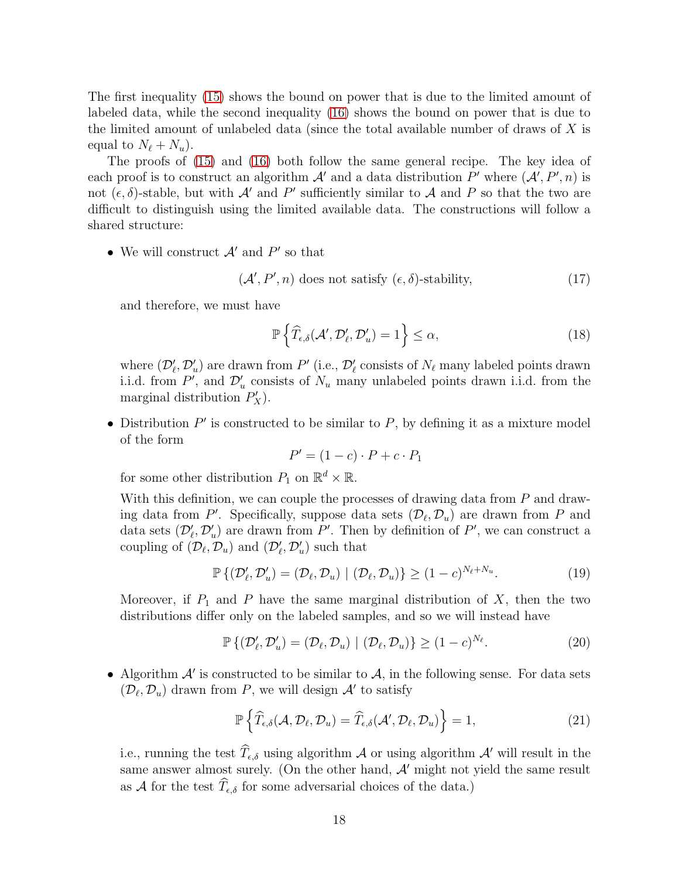The first inequality [\(15\)](#page-16-1) shows the bound on power that is due to the limited amount of labeled data, while the second inequality [\(16\)](#page-16-2) shows the bound on power that is due to the limited amount of unlabeled data (since the total available number of draws of  $X$  is equal to  $N_{\ell} + N_{u}$ ).

The proofs of [\(15\)](#page-16-1) and [\(16\)](#page-16-2) both follow the same general recipe. The key idea of each proof is to construct an algorithm  $\mathcal{A}'$  and a data distribution P' where  $(\mathcal{A}', P', n)$  is not  $(\epsilon, \delta)$ -stable, but with  $\mathcal{A}'$  and  $P'$  sufficiently similar to  $\mathcal{A}$  and  $P$  so that the two are difficult to distinguish using the limited available data. The constructions will follow a shared structure:

• We will construct  $\mathcal{A}'$  and  $P'$  so that

<span id="page-17-4"></span>
$$
(\mathcal{A}', P', n) does not satisfy (\epsilon, \delta)\text{-stability}, \tag{17}
$$

and therefore, we must have

<span id="page-17-1"></span>
$$
\mathbb{P}\left\{\widehat{T}_{\epsilon,\delta}(\mathcal{A}',\mathcal{D}'_{\ell},\mathcal{D}'_{u})=1\right\}\leq\alpha,
$$
\n(18)

where  $(\mathcal{D}'_{\ell}, \mathcal{D}'_{u})$  are drawn from  $P'$  (i.e.,  $\mathcal{D}'_{\ell}$  consists of  $N_{\ell}$  many labeled points drawn i.i.d. from  $P'$ , and  $\mathcal{D}'_u$  consists of  $N_u$  many unlabeled points drawn i.i.d. from the marginal distribution  $P'_X$ ).

• Distribution  $P'$  is constructed to be similar to  $P$ , by defining it as a mixture model of the form

$$
P' = (1 - c) \cdot P + c \cdot P_1
$$

for some other distribution  $P_1$  on  $\mathbb{R}^d \times \mathbb{R}$ .

With this definition, we can couple the processes of drawing data from P and drawing data from P'. Specifically, suppose data sets  $(\mathcal{D}_{\ell}, \mathcal{D}_{u})$  are drawn from P and data sets  $(\mathcal{D}'_{\ell}, \mathcal{D}'_{u})$  are drawn from P'. Then by definition of P', we can construct a coupling of  $(\mathcal{D}_{\ell}, \mathcal{D}_{u})$  and  $(\mathcal{D}'_{\ell}, \mathcal{D}'_{u})$  such that

<span id="page-17-2"></span>
$$
\mathbb{P}\left\{(\mathcal{D}'_{\ell}, \mathcal{D}'_{u}) = (\mathcal{D}_{\ell}, \mathcal{D}_{u}) \mid (\mathcal{D}_{\ell}, \mathcal{D}_{u})\right\} \ge (1 - c)^{N_{\ell} + N_{u}}.
$$
\n(19)

Moreover, if  $P_1$  and P have the same marginal distribution of X, then the two distributions differ only on the labeled samples, and so we will instead have

<span id="page-17-3"></span>
$$
\mathbb{P}\left\{ (\mathcal{D}'_{\ell}, \mathcal{D}'_{u}) = (\mathcal{D}_{\ell}, \mathcal{D}_{u}) \mid (\mathcal{D}_{\ell}, \mathcal{D}_{u}) \right\} \ge (1 - c)^{N_{\ell}}.
$$
\n(20)

• Algorithm  $A'$  is constructed to be similar to  $A$ , in the following sense. For data sets  $(\mathcal{D}_{\ell}, \mathcal{D}_{u})$  drawn from P, we will design  $\mathcal{A}'$  to satisfy

<span id="page-17-0"></span>
$$
\mathbb{P}\left\{\widehat{T}_{\epsilon,\delta}(\mathcal{A},\mathcal{D}_{\ell},\mathcal{D}_{u})=\widehat{T}_{\epsilon,\delta}(\mathcal{A}',\mathcal{D}_{\ell},\mathcal{D}_{u})\right\}=1,
$$
\n(21)

i.e., running the test  $\widehat{T}_{\epsilon,\delta}$  using algorithm A or using algorithm A' will result in the same answer almost surely. (On the other hand,  $A'$  might not yield the same result as  $\mathcal A$  for the test  $\widehat T_{\epsilon,\delta}$  for some adversarial choices of the data.)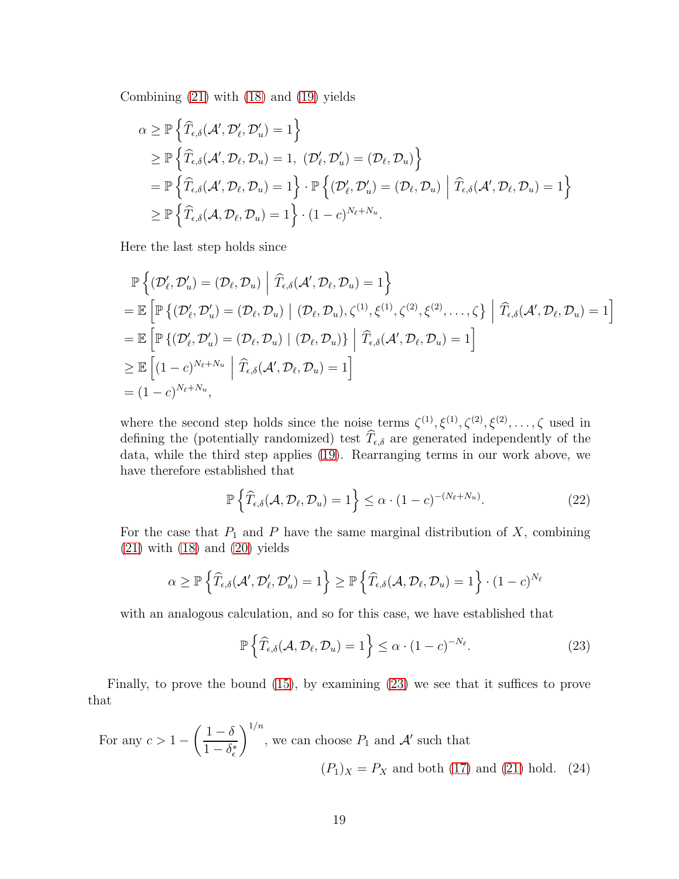Combining [\(21\)](#page-17-0) with [\(18\)](#page-17-1) and [\(19\)](#page-17-2) yields

$$
\alpha \geq \mathbb{P}\left\{\widehat{T}_{\epsilon,\delta}(\mathcal{A}', \mathcal{D}'_{\ell}, \mathcal{D}'_{u}) = 1\right\}
$$
  
\n
$$
\geq \mathbb{P}\left\{\widehat{T}_{\epsilon,\delta}(\mathcal{A}', \mathcal{D}_{\ell}, \mathcal{D}_{u}) = 1, \ (\mathcal{D}'_{\ell}, \mathcal{D}'_{u}) = (\mathcal{D}_{\ell}, \mathcal{D}_{u})\right\}
$$
  
\n
$$
= \mathbb{P}\left\{\widehat{T}_{\epsilon,\delta}(\mathcal{A}', \mathcal{D}_{\ell}, \mathcal{D}_{u}) = 1\right\} \cdot \mathbb{P}\left\{(\mathcal{D}'_{\ell}, \mathcal{D}'_{u}) = (\mathcal{D}_{\ell}, \mathcal{D}_{u}) \middle| \widehat{T}_{\epsilon,\delta}(\mathcal{A}', \mathcal{D}_{\ell}, \mathcal{D}_{u}) = 1\right\}
$$
  
\n
$$
\geq \mathbb{P}\left\{\widehat{T}_{\epsilon,\delta}(\mathcal{A}, \mathcal{D}_{\ell}, \mathcal{D}_{u}) = 1\right\} \cdot (1 - c)^{N_{\ell} + N_{u}}.
$$

Here the last step holds since

$$
\mathbb{P}\left\{ (\mathcal{D}'_{\ell}, \mathcal{D}'_{u}) = (\mathcal{D}_{\ell}, \mathcal{D}_{u}) \middle| \widehat{T}_{\epsilon,\delta}(\mathcal{A}', \mathcal{D}_{\ell}, \mathcal{D}_{u}) = 1 \right\}
$$
\n
$$
= \mathbb{E}\left[ \mathbb{P}\left\{ (\mathcal{D}'_{\ell}, \mathcal{D}'_{u}) = (\mathcal{D}_{\ell}, \mathcal{D}_{u}) \middle| (\mathcal{D}_{\ell}, \mathcal{D}_{u}), \zeta^{(1)}, \xi^{(1)}, \zeta^{(2)}, \xi^{(2)}, \dots, \zeta \right\} \middle| \widehat{T}_{\epsilon,\delta}(\mathcal{A}', \mathcal{D}_{\ell}, \mathcal{D}_{u}) = 1 \right]
$$
\n
$$
= \mathbb{E}\left[ \mathbb{P}\left\{ (\mathcal{D}'_{\ell}, \mathcal{D}'_{u}) = (\mathcal{D}_{\ell}, \mathcal{D}_{u}) \middle| (\mathcal{D}_{\ell}, \mathcal{D}_{u}) \right\} \middle| \widehat{T}_{\epsilon,\delta}(\mathcal{A}', \mathcal{D}_{\ell}, \mathcal{D}_{u}) = 1 \right]
$$
\n
$$
\geq \mathbb{E}\left[ (1 - c)^{N_{\ell} + N_{u}} \middle| \widehat{T}_{\epsilon,\delta}(\mathcal{A}', \mathcal{D}_{\ell}, \mathcal{D}_{u}) = 1 \right]
$$
\n
$$
= (1 - c)^{N_{\ell} + N_{u}},
$$

where the second step holds since the noise terms  $\zeta^{(1)}, \zeta^{(1)}, \zeta^{(2)}, \zeta^{(2)}, \ldots, \zeta$  used in defining the (potentially randomized) test  $\widehat{T}_{\epsilon,\delta}$  are generated independently of the data, while the third step applies [\(19\)](#page-17-2). Rearranging terms in our work above, we have therefore established that

<span id="page-18-1"></span>
$$
\mathbb{P}\left\{\widehat{T}_{\epsilon,\delta}(\mathcal{A},\mathcal{D}_{\ell},\mathcal{D}_{u})=1\right\}\leq \alpha\cdot(1-c)^{-(N_{\ell}+N_{u})}.
$$
\n(22)

For the case that  $P_1$  and P have the same marginal distribution of X, combining  $(21)$  with  $(18)$  and  $(20)$  yields

$$
\alpha \ge \mathbb{P}\left\{\widehat{T}_{\epsilon,\delta}(\mathcal{A}', \mathcal{D}'_{\ell}, \mathcal{D}'_{u}) = 1\right\} \ge \mathbb{P}\left\{\widehat{T}_{\epsilon,\delta}(\mathcal{A}, \mathcal{D}_{\ell}, \mathcal{D}_{u}) = 1\right\} \cdot (1-c)^{N_{\ell}}
$$

with an analogous calculation, and so for this case, we have established that

<span id="page-18-2"></span><span id="page-18-0"></span>
$$
\mathbb{P}\left\{\widehat{T}_{\epsilon,\delta}(\mathcal{A},\mathcal{D}_{\ell},\mathcal{D}_{u})=1\right\}\leq\alpha\cdot(1-c)^{-N_{\ell}}.
$$
\n(23)

Finally, to prove the bound [\(15\)](#page-16-1), by examining [\(23\)](#page-18-0) we see that it suffices to prove that

For any 
$$
c > 1 - \left(\frac{1-\delta}{1-\delta_{\epsilon}^{*}}\right)^{1/n}
$$
, we can choose  $P_1$  and  $\mathcal{A}'$  such that  
\n $(P_1)_X = P_X$  and both (17) and (21) hold. (24)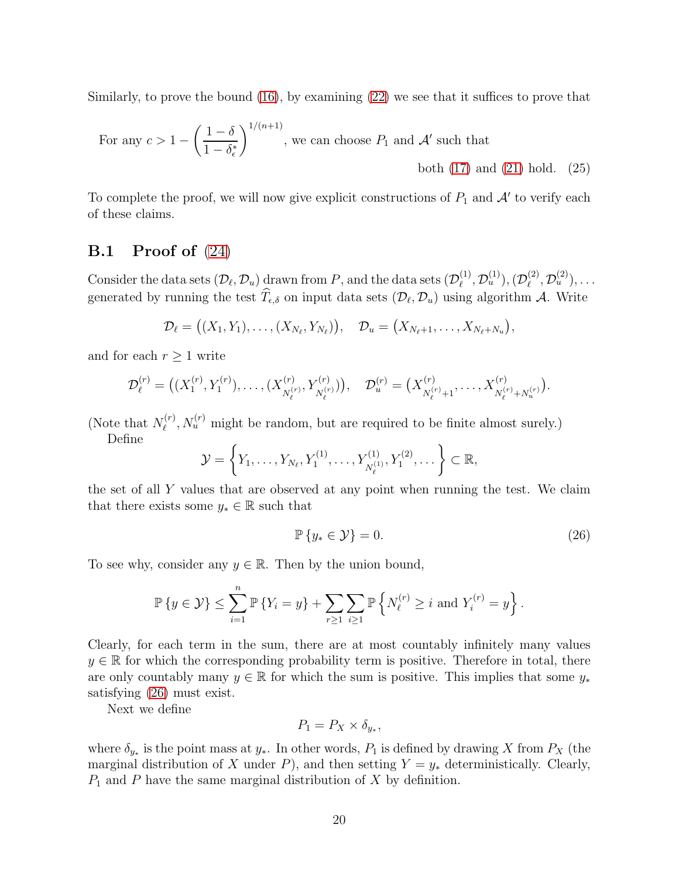Similarly, to prove the bound [\(16\)](#page-16-2), by examining [\(22\)](#page-18-1) we see that it suffices to prove that

For any 
$$
c > 1 - \left(\frac{1-\delta}{1-\delta_{\epsilon}^{*}}\right)^{1/(n+1)}
$$
, we can choose  $P_1$  and  $\mathcal{A}'$  such that  
both (17) and (21) hold. (25)

To complete the proof, we will now give explicit constructions of  $P_1$  and  $\mathcal{A}'$  to verify each of these claims.

### <span id="page-19-2"></span>**B.1** Proof of  $(24)$

Consider the data sets  $(\mathcal{D}_{\ell}, \mathcal{D}_{u})$  drawn from P, and the data sets  $(\mathcal{D}_{\ell}^{(1)})$  $(\mathcal{D}_\ell^{(1)},\mathcal{D}_u^{(1)}),(\mathcal{D}_\ell^{(2)})$  $\mathcal{D}_\ell^{(2)}, \mathcal{D}_u^{(2)}), \ldots$ generated by running the test  $T_{\epsilon,\delta}$  on input data sets  $(\mathcal{D}_{\ell}, \mathcal{D}_{u})$  using algorithm A. Write

$$
\mathcal{D}_{\ell} = ((X_1, Y_1), \ldots, (X_{N_{\ell}}, Y_{N_{\ell}})), \quad \mathcal{D}_{u} = (X_{N_{\ell}+1}, \ldots, X_{N_{\ell}+N_{u}}),
$$

and for each  $r \geq 1$  write

$$
\mathcal{D}_{\ell}^{(r)} = \left( (X_1^{(r)}, Y_1^{(r)}), \dots, (X_{N_{\ell}^{(r)}}^{(r)}, Y_{N_{\ell}^{(r)}}^{(r)}) \right), \quad \mathcal{D}_{u}^{(r)} = \left( X_{N_{\ell}^{(r)}+1}^{(r)}, \dots, X_{N_{\ell}^{(r)}+N_{u}^{(r)}}^{(r)} \right)
$$

(Note that  $N_{\ell}^{(r)}$  $N_u^{(r)}$ ,  $N_u^{(r)}$  might be random, but are required to be finite almost surely.)

Define

$$
\mathcal{Y} = \left\{ Y_1, \ldots, Y_{N_{\ell}}, Y_1^{(1)}, \ldots, Y_{N_{\ell}^{(1)}}^{(1)}, Y_1^{(2)}, \ldots \right\} \subset \mathbb{R},
$$

the set of all Y values that are observed at any point when running the test. We claim that there exists some  $y_* \in \mathbb{R}$  such that

<span id="page-19-0"></span>
$$
\mathbb{P}\left\{y_* \in \mathcal{Y}\right\} = 0. \tag{26}
$$

<span id="page-19-1"></span>.

To see why, consider any  $y \in \mathbb{R}$ . Then by the union bound,

$$
\mathbb{P}\left\{y\in\mathcal{Y}\right\}\leq\sum_{i=1}^n\mathbb{P}\left\{Y_i=y\right\}+\sum_{r\geq 1}\sum_{i\geq 1}\mathbb{P}\left\{N_{\ell}^{(r)}\geq i\text{ and }Y_i^{(r)}=y\right\}.
$$

Clearly, for each term in the sum, there are at most countably infinitely many values  $y \in \mathbb{R}$  for which the corresponding probability term is positive. Therefore in total, there are only countably many  $y \in \mathbb{R}$  for which the sum is positive. This implies that some  $y_*$ satisfying [\(26\)](#page-19-0) must exist.

Next we define

$$
P_1 = P_X \times \delta_{y_*},
$$

where  $\delta_{y*}$  is the point mass at  $y_*$ . In other words,  $P_1$  is defined by drawing X from  $P_X$  (the marginal distribution of X under P), and then setting  $Y = y_*$  deterministically. Clearly,  $P_1$  and P have the same marginal distribution of X by definition.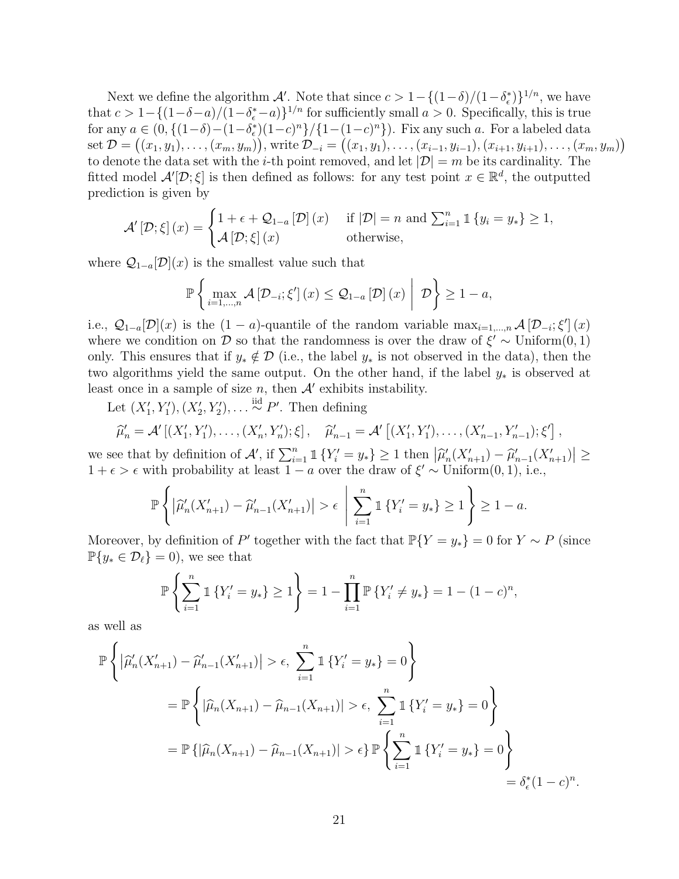Next we define the algorithm A'. Note that since  $c > 1 - \{(1-\delta)/(1-\delta_{\epsilon}^*)\}^{1/n}$ , we have that  $c > 1 - \{(1-\delta-a)/(1-\delta_{\epsilon}^*-a)\}^{1/n}$  for sufficiently small  $a > 0$ . Specifically, this is true for any  $a \in (0, \{(1-\delta)-(1-\delta_{\epsilon}^*)(1-c)^n\}/\{1-(1-c)^n\})$ . Fix any such a. For a labeled data  $\text{set } \mathcal{D} = ((x_1, y_1), \ldots, (x_m, y_m)), \text{write } \mathcal{D}_{-i} = ((x_1, y_1), \ldots, (x_{i-1}, y_{i-1}), (x_{i+1}, y_{i+1}), \ldots, (x_m, y_m))$ to denote the data set with the *i*-th point removed, and let  $|\mathcal{D}| = m$  be its cardinality. The fitted model  $\mathcal{A}'[\mathcal{D}; \xi]$  is then defined as follows: for any test point  $x \in \mathbb{R}^d$ , the outputted prediction is given by

$$
\mathcal{A}'\left[\mathcal{D};\xi\right](x) = \begin{cases} 1 + \epsilon + \mathcal{Q}_{1-a}\left[\mathcal{D}\right](x) & \text{if } |\mathcal{D}| = n \text{ and } \sum_{i=1}^{n} \mathbb{1}\left\{y_i = y_*\right\} \ge 1, \\ \mathcal{A}\left[\mathcal{D};\xi\right](x) & \text{otherwise,} \end{cases}
$$

where  $\mathcal{Q}_{1-a}[\mathcal{D}](x)$  is the smallest value such that

$$
\mathbb{P}\left\{\max_{i=1,\ldots,n}\mathcal{A}\left[\mathcal{D}_{-i};\xi'\right](x)\leq\mathcal{Q}_{1-a}\left[\mathcal{D}\right](x)\;\middle|\;\mathcal{D}\right\}\geq1-a,
$$

i.e.,  $\mathcal{Q}_{1-a}[\mathcal{D}](x)$  is the  $(1-a)$ -quantile of the random variable  $\max_{i=1,\dots,n} \mathcal{A}[\mathcal{D}_{-i};\xi'](x)$ where we condition on D so that the randomness is over the draw of  $\xi' \sim$  Uniform $(0, 1)$ only. This ensures that if  $y_* \notin \mathcal{D}$  (i.e., the label  $y_*$  is not observed in the data), then the two algorithms yield the same output. On the other hand, if the label  $y_*$  is observed at least once in a sample of size  $n$ , then  $A'$  exhibits instability.

Let  $(X'_1, Y'_1), (X'_2, Y'_2), \ldots \stackrel{\text{iid}}{\sim} P'$ . Then defining

$$
\widehat{\mu}'_n = \mathcal{A}'[(X'_1, Y'_1), \dots, (X'_n, Y'_n); \xi], \quad \widehat{\mu}'_{n-1} = \mathcal{A}'[(X'_1, Y'_1), \dots, (X'_{n-1}, Y'_{n-1}); \xi'],
$$

we see that by definition of  $\mathcal{A}'$ , if  $\sum_{i=1}^{n} \mathbb{1}\{Y'_i = y_*\} \geq 1$  then  $|\hat{\mu}'_n(X'_{n+1}) - \hat{\mu}'_{n-1}(X'_{n+1})| \geq$  $1 + \epsilon > \epsilon$  with probability at least  $1 - a$  over the draw of  $\xi' \sim$  Uniform $(0, 1)$ , i.e.,

$$
\mathbb{P}\left\{ \left| \widehat{\mu}'_n(X'_{n+1}) - \widehat{\mu}'_{n-1}(X'_{n+1}) \right| > \epsilon \mid \sum_{i=1}^n 1 \{Y'_i = y_*\} \ge 1 \right\} \ge 1 - a.
$$

Moreover, by definition of P' together with the fact that  $\mathbb{P}{Y = y_*} = 0$  for  $Y \sim P$  (since  $\mathbb{P}\{y_* \in \mathcal{D}_\ell\} = 0$ , we see that

$$
\mathbb{P}\left\{\sum_{i=1}^n \mathbb{1}\left\{Y'_i = y_*\right\} \ge 1\right\} = 1 - \prod_{i=1}^n \mathbb{P}\left\{Y'_i \ne y_*\right\} = 1 - (1 - c)^n,
$$

as well as

$$
\mathbb{P}\left\{ \left| \widehat{\mu}'_n(X'_{n+1}) - \widehat{\mu}'_{n-1}(X'_{n+1}) \right| > \epsilon, \sum_{i=1}^n \mathbb{1}\left\{ Y'_i = y_* \right\} = 0 \right\}
$$
  
= 
$$
\mathbb{P}\left\{ \left| \widehat{\mu}_n(X_{n+1}) - \widehat{\mu}_{n-1}(X_{n+1}) \right| > \epsilon, \sum_{i=1}^n \mathbb{1}\left\{ Y'_i = y_* \right\} = 0 \right\}
$$
  
= 
$$
\mathbb{P}\left\{ \left| \widehat{\mu}_n(X_{n+1}) - \widehat{\mu}_{n-1}(X_{n+1}) \right| > \epsilon \right\} \mathbb{P}\left\{ \sum_{i=1}^n \mathbb{1}\left\{ Y'_i = y_* \right\} = 0 \right\}
$$
  
= 
$$
\delta_{\epsilon}^*(1 - c)^n.
$$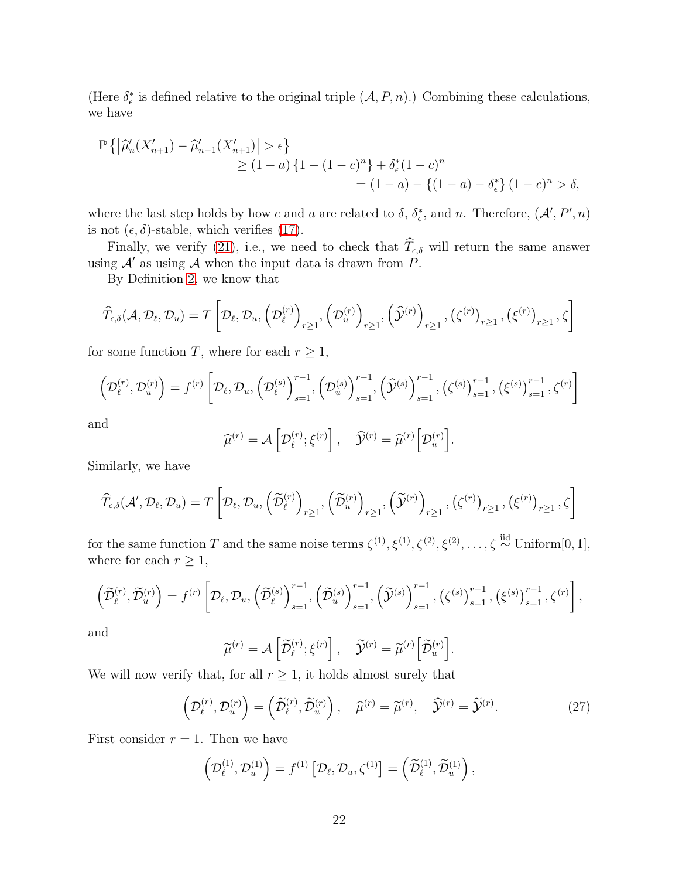(Here  $\delta_{\epsilon}^{*}$  is defined relative to the original triple  $(\mathcal{A}, P, n)$ .) Combining these calculations, we have

$$
\mathbb{P}\left\{ \left| \widehat{\mu}'_n(X'_{n+1}) - \widehat{\mu}'_{n-1}(X'_{n+1}) \right| > \epsilon \right\}
$$
  
\n
$$
\geq (1-a)\left\{1 - (1-c)^n\right\} + \delta_{\epsilon}^*(1-c)^n
$$
  
\n
$$
= (1-a) - \left\{(1-a) - \delta_{\epsilon}^*\right\}(1-c)^n > \delta,
$$

where the last step holds by how c and a are related to  $\delta$ ,  $\delta_{\epsilon}^*$ , and n. Therefore,  $(\mathcal{A}', P', n)$ is not  $(\epsilon, \delta)$ -stable, which verifies [\(17\)](#page-17-4).

Finally, we verify [\(21\)](#page-17-0), i.e., we need to check that  $\widehat{T}_{\epsilon,\delta}$  will return the same answer using  $\mathcal{A}'$  as using  $\mathcal A$  when the input data is drawn from P.

By Definition [2,](#page-4-0) we know that

$$
\widehat{T}_{\epsilon,\delta}(\mathcal{A},\mathcal{D}_{\ell},\mathcal{D}_{u})=T\left[\mathcal{D}_{\ell},\mathcal{D}_{u},\left(\mathcal{D}_{\ell}^{(r)}\right)_{r\geq 1},\left(\mathcal{D}_{u}^{(r)}\right)_{r\geq 1},\left(\widehat{\mathcal{Y}}^{(r)}\right)_{r\geq 1},\left(\zeta^{(r)}\right)_{r\geq 1},\left(\xi^{(r)}\right)_{r\geq 1},\zeta\right]
$$

for some function T, where for each  $r \geq 1$ ,

$$
\left(\mathcal{D}_{\ell}^{(r)},\mathcal{D}_{u}^{(r)}\right) = f^{(r)}\left[\mathcal{D}_{\ell},\mathcal{D}_{u},\left(\mathcal{D}_{\ell}^{(s)}\right)_{s=1}^{r-1},\left(\mathcal{D}_{u}^{(s)}\right)_{s=1}^{r-1},\left(\widehat{\mathcal{Y}}^{(s)}\right)_{s=1}^{r-1},\left(\zeta^{(s)}\right)_{s=1}^{r-1},\left(\xi^{(s)}\right)_{s=1}^{r-1},\zeta^{(r)}\right]
$$

and

$$
\widehat{\mu}^{(r)} = \mathcal{A}\left[\mathcal{D}_{\ell}^{(r)}; \xi^{(r)}\right], \quad \widehat{\mathcal{Y}}^{(r)} = \widehat{\mu}^{(r)}\left[\mathcal{D}_{u}^{(r)}\right].
$$

Similarly, we have

$$
\widehat{T}_{\epsilon,\delta}(\mathcal{A}',\mathcal{D}_{\ell},\mathcal{D}_{u})=T\left[\mathcal{D}_{\ell},\mathcal{D}_{u},\left(\widetilde{\mathcal{D}}_{\ell}^{(r)}\right)_{r\geq 1},\left(\widetilde{\mathcal{D}}_{u}^{(r)}\right)_{r\geq 1},\left(\widetilde{\mathcal{Y}}^{(r)}\right)_{r\geq 1},\left(\zeta^{(r)}\right)_{r\geq 1},\left(\xi^{(r)}\right)_{r\geq 1},\zeta\right]
$$

for the same function T and the same noise terms  $\zeta^{(1)}, \xi^{(1)}, \zeta^{(2)}, \xi^{(2)}, \ldots, \zeta \stackrel{\text{iid}}{\sim} \text{Uniform}[0, 1],$ where for each  $r \geq 1$ ,

$$
\left(\widetilde{\mathcal{D}}_{\ell}^{(r)},\widetilde{\mathcal{D}}_{u}^{(r)}\right)=f^{(r)}\left[\mathcal{D}_{\ell},\mathcal{D}_{u},\left(\widetilde{\mathcal{D}}_{\ell}^{(s)}\right)_{s=1}^{r-1},\left(\widetilde{\mathcal{D}}_{u}^{(s)}\right)_{s=1}^{r-1},\left(\widetilde{\mathcal{Y}}^{(s)}\right)_{s=1}^{r-1},\left(\zeta^{(s)}\right)_{s=1}^{r-1},\left(\xi^{(s)}\right)_{s=1}^{r-1},\left(\zeta^{(r)}\right)_{s=1}^{r-1}
$$

and

$$
\widetilde{\mu}^{(r)} = \mathcal{A}\left[\widetilde{\mathcal{D}}_{\ell}^{(r)}; \xi^{(r)}\right], \quad \widetilde{\mathcal{Y}}^{(r)} = \widetilde{\mu}^{(r)}\left[\widetilde{\mathcal{D}}_{u}^{(r)}\right].
$$

We will now verify that, for all  $r \geq 1$ , it holds almost surely that

<span id="page-21-0"></span>
$$
\left(\mathcal{D}_{\ell}^{(r)},\mathcal{D}_{u}^{(r)}\right) = \left(\widetilde{\mathcal{D}}_{\ell}^{(r)},\widetilde{\mathcal{D}}_{u}^{(r)}\right), \quad \widehat{\mu}^{(r)} = \widetilde{\mu}^{(r)}, \quad \widehat{\mathcal{Y}}^{(r)} = \widetilde{\mathcal{Y}}^{(r)}.
$$
\n(27)

First consider  $r = 1$ . Then we have

$$
\left(\mathcal{D}_{\ell}^{(1)},\mathcal{D}_{u}^{(1)}\right)=f^{(1)}\left[\mathcal{D}_{\ell},\mathcal{D}_{u},\zeta^{(1)}\right]=\left(\widetilde{\mathcal{D}}_{\ell}^{(1)},\widetilde{\mathcal{D}}_{u}^{(1)}\right),
$$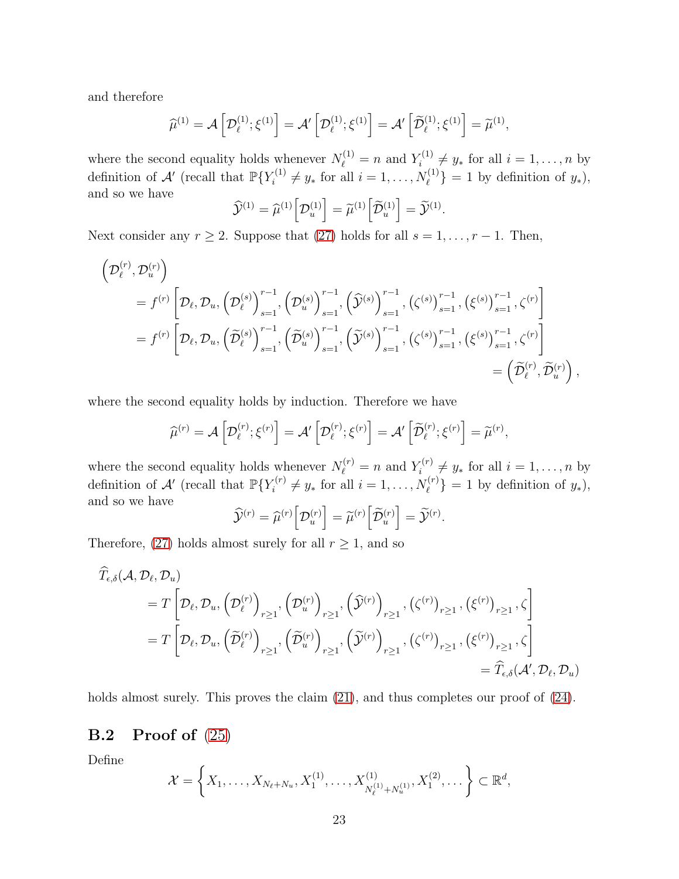and therefore

$$
\widehat{\mu}^{(1)} = \mathcal{A}\left[\mathcal{D}_{\ell}^{(1)}; \xi^{(1)}\right] = \mathcal{A}'\left[\mathcal{D}_{\ell}^{(1)}; \xi^{(1)}\right] = \mathcal{A}'\left[\widetilde{\mathcal{D}}_{\ell}^{(1)}; \xi^{(1)}\right] = \widetilde{\mu}^{(1)},
$$

where the second equality holds whenever  $N_{\ell}^{(1)} = n$  and  $Y_i^{(1)}$  $\mathbf{y}_{i}^{(1)} \neq y_{*}$  for all  $i = 1, \ldots, n$  by definition of  $\mathcal{A}'$  (recall that  $\mathbb{P}\lbrace Y_i^{(1)} \rbrace$  $S_i^{(1)} \neq y_*$  for all  $i = 1, ..., N_{\ell}^{(1)}$  = 1 by definition of  $y_*$ ), and so we have

$$
\widehat{\mathcal{Y}}^{(1)} = \widehat{\mu}^{(1)} \left[ \mathcal{D}_u^{(1)} \right] = \widetilde{\mu}^{(1)} \left[ \widetilde{\mathcal{D}}_u^{(1)} \right] = \widetilde{\mathcal{Y}}^{(1)}.
$$

Next consider any  $r \geq 2$ . Suppose that [\(27\)](#page-21-0) holds for all  $s = 1, \ldots, r - 1$ . Then,

$$
\begin{split}\n&\left(\mathcal{D}_{\ell}^{(r)},\mathcal{D}_{u}^{(r)}\right) \\
&= f^{(r)}\left[\mathcal{D}_{\ell},\mathcal{D}_{u},\left(\mathcal{D}_{\ell}^{(s)}\right)_{s=1}^{r-1},\left(\mathcal{D}_{u}^{(s)}\right)_{s=1}^{r-1},\left(\widehat{\mathcal{Y}}^{(s)}\right)_{s=1}^{r-1},\left(\zeta^{(s)}\right)_{s=1}^{r-1},\left(\xi^{(s)}\right)_{s=1}^{r-1},\zeta^{(r)}\right] \\
&= f^{(r)}\left[\mathcal{D}_{\ell},\mathcal{D}_{u},\left(\widehat{\mathcal{D}}_{\ell}^{(s)}\right)_{s=1}^{r-1},\left(\widehat{\mathcal{D}}_{u}^{(s)}\right)_{s=1}^{r-1},\left(\widehat{\mathcal{Y}}^{(s)}\right)_{s=1}^{r-1},\left(\zeta^{(s)}\right)_{s=1}^{r-1},\left(\xi^{(s)}\right)_{s=1}^{r-1},\zeta^{(r)}\right] \\
&=\left(\widetilde{\mathcal{D}}_{\ell}^{(r)},\widetilde{\mathcal{D}}_{u}^{(r)}\right),\n\end{split}
$$

where the second equality holds by induction. Therefore we have

$$
\widehat{\mu}^{(r)} = \mathcal{A}\left[\mathcal{D}_{\ell}^{(r)}; \xi^{(r)}\right] = \mathcal{A}'\left[\mathcal{D}_{\ell}^{(r)}; \xi^{(r)}\right] = \mathcal{A}'\left[\widetilde{\mathcal{D}}_{\ell}^{(r)}; \xi^{(r)}\right] = \widetilde{\mu}^{(r)},
$$

where the second equality holds whenever  $N_{\ell}^{(r)} = n$  and  $Y_i^{(r)}$  $\mathbf{y}_i^{(r)} \neq y_*$  for all  $i = 1, \ldots, n$  by definition of  $\mathcal{A}'$  (recall that  $\mathbb{P}\lbrace Y_i^{(r)} \rbrace$  $I_i^{(r)} \neq y_*$  for all  $i = 1, \ldots, N_{\ell}^{(r)} \} = 1$  by definition of  $y_*$ ), and so we have

$$
\widehat{\mathcal{Y}}^{(r)} = \widehat{\mu}^{(r)} \left[ \mathcal{D}_u^{(r)} \right] = \widetilde{\mu}^{(r)} \left[ \widetilde{\mathcal{D}}_u^{(r)} \right] = \widetilde{\mathcal{Y}}^{(r)}.
$$

Therefore, [\(27\)](#page-21-0) holds almost surely for all  $r \geq 1$ , and so

$$
\hat{T}_{\epsilon,\delta}(\mathcal{A},\mathcal{D}_{\ell},\mathcal{D}_{u})
$$
\n
$$
= T\left[\mathcal{D}_{\ell},\mathcal{D}_{u},\left(\mathcal{D}_{\ell}^{(r)}\right)_{r\geq 1},\left(\mathcal{D}_{u}^{(r)}\right)_{r\geq 1},\left(\hat{\mathcal{Y}}^{(r)}\right)_{r\geq 1},\left(\zeta^{(r)}\right)_{r\geq 1},\left(\xi^{(r)}\right)_{r\geq 1},\zeta\right]
$$
\n
$$
= T\left[\mathcal{D}_{\ell},\mathcal{D}_{u},\left(\tilde{\mathcal{D}}_{\ell}^{(r)}\right)_{r\geq 1},\left(\tilde{\mathcal{D}}_{u}^{(r)}\right)_{r\geq 1},\left(\tilde{\mathcal{Y}}^{(r)}\right)_{r\geq 1},\left(\zeta^{(r)}\right)_{r\geq 1},\left(\xi^{(r)}\right)_{r\geq 1},\zeta\right]
$$
\n
$$
= \widehat{T}_{\epsilon,\delta}(\mathcal{A}',\mathcal{D}_{\ell},\mathcal{D}_{u})
$$

holds almost surely. This proves the claim  $(21)$ , and thus completes our proof of  $(24)$ .

## **B.2** Proof of  $(25)$

Define

$$
\mathcal{X} = \left\{ X_1, \ldots, X_{N_{\ell}+N_u}, X_1^{(1)}, \ldots, X_{N_{\ell}^{(1)}+N_u^{(1)}}^{(1)}, X_1^{(2)}, \ldots \right\} \subset \mathbb{R}^d,
$$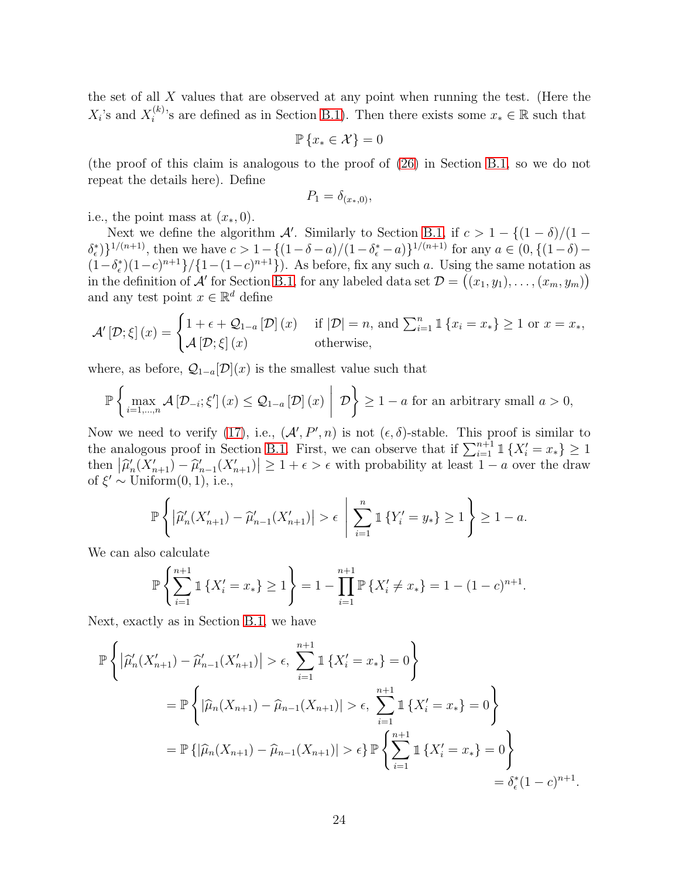the set of all X values that are observed at any point when running the test. (Here the  $X_i$ 's and  $X_i^{(k)}$ <sup>(k)</sup>'s are defined as in Section [B.1\)](#page-19-2). Then there exists some  $x_* \in \mathbb{R}$  such that

$$
\mathbb{P}\left\{x_* \in \mathcal{X}\right\} = 0
$$

(the proof of this claim is analogous to the proof of [\(26\)](#page-19-0) in Section [B.1,](#page-19-2) so we do not repeat the details here). Define

$$
P_1 = \delta_{(x*,0)},
$$

i.e., the point mass at  $(x_*,0)$ .

Next we define the algorithm A'. Similarly to Section [B.1,](#page-19-2) if  $c > 1 - \frac{(1 - \delta)}{(1 - \delta)}$  $\{\delta_{\epsilon}^*\}\}^{1/(n+1)}$ , then we have  $c > 1 - \{(1-\delta-a)/(1-\delta_{\epsilon}^*-a)\}^{1/(n+1)}$  for any  $a \in (0, \{(1-\delta)-a\})$  $(1-\delta_{\epsilon}^{*})(1-c)^{n+1}\}/\{1-(1-c)^{n+1}\})$ . As before, fix any such a. Using the same notation as in the definition of A' for Section [B.1,](#page-19-2) for any labeled data set  $\mathcal{D} = ((x_1, y_1), \ldots, (x_m, y_m))$ and any test point  $x \in \mathbb{R}^d$  define

$$
\mathcal{A}'\left[\mathcal{D};\xi\right](x) = \begin{cases} 1 + \epsilon + \mathcal{Q}_{1-a}\left[\mathcal{D}\right](x) & \text{if } |\mathcal{D}| = n \text{, and } \sum_{i=1}^{n} \mathbb{1}\left\{x_i = x_*\right\} \ge 1 \text{ or } x = x_*,\\ \mathcal{A}\left[\mathcal{D};\xi\right](x) & \text{otherwise,} \end{cases}
$$

where, as before,  $\mathcal{Q}_{1-a}[\mathcal{D}](x)$  is the smallest value such that

$$
\mathbb{P}\left\{\max_{i=1,\ldots,n}\mathcal{A}\left[\mathcal{D}_{-i};\xi'\right](x)\leq \mathcal{Q}_{1-a}\left[\mathcal{D}\right](x)\;\middle|\;\mathcal{D}\right\}\geq 1-a\;\text{for an arbitrary small}\;a>0,
$$

Now we need to verify [\(17\)](#page-17-4), i.e.,  $(A', P', n)$  is not  $(\epsilon, \delta)$ -stable. This proof is similar to the analogous proof in Section [B.1.](#page-19-2) First, we can observe that if  $\sum_{i=1}^{n+1} 1\!\!1 \{X_i' = x_*\} \geq 1$ then  $|\widehat{\mu}'_n(X'_{n+1}) - \widehat{\mu}'_{n-1}(X'_{n+1})| \geq 1 + \epsilon > \epsilon$  with probability at least  $1 - a$  over the draw of  $\xi' \sim \text{Uniform}(0, 1)$ , i.e.,

$$
\mathbb{P}\left\{ \left| \widehat{\mu}'_n(X'_{n+1}) - \widehat{\mu}'_{n-1}(X'_{n+1}) \right| > \epsilon \mid \sum_{i=1}^n \mathbb{1}\left\{ Y'_i = y_* \right\} \ge 1 \right\} \ge 1 - a.
$$

We can also calculate

$$
\mathbb{P}\left\{\sum_{i=1}^{n+1} \mathbb{1}\left\{X'_i = x_*\right\} \ge 1\right\} = 1 - \prod_{i=1}^{n+1} \mathbb{P}\left\{X'_i \ne x_*\right\} = 1 - (1 - c)^{n+1}.
$$

Next, exactly as in Section [B.1,](#page-19-2) we have

$$
\mathbb{P}\left\{ \left| \widehat{\mu}'_n(X'_{n+1}) - \widehat{\mu}'_{n-1}(X'_{n+1}) \right| > \epsilon, \sum_{i=1}^{n+1} \mathbb{1}\left\{ X'_i = x_* \right\} = 0 \right\}
$$
  
=  $\mathbb{P}\left\{ \left| \widehat{\mu}_n(X_{n+1}) - \widehat{\mu}_{n-1}(X_{n+1}) \right| > \epsilon, \sum_{i=1}^{n+1} \mathbb{1}\left\{ X'_i = x_* \right\} = 0 \right\}$   
=  $\mathbb{P}\left\{ \left| \widehat{\mu}_n(X_{n+1}) - \widehat{\mu}_{n-1}(X_{n+1}) \right| > \epsilon \right\} \mathbb{P}\left\{ \sum_{i=1}^{n+1} \mathbb{1}\left\{ X'_i = x_* \right\} = 0 \right\}$   
=  $\delta_{\epsilon}^*(1 - c)^{n+1}.$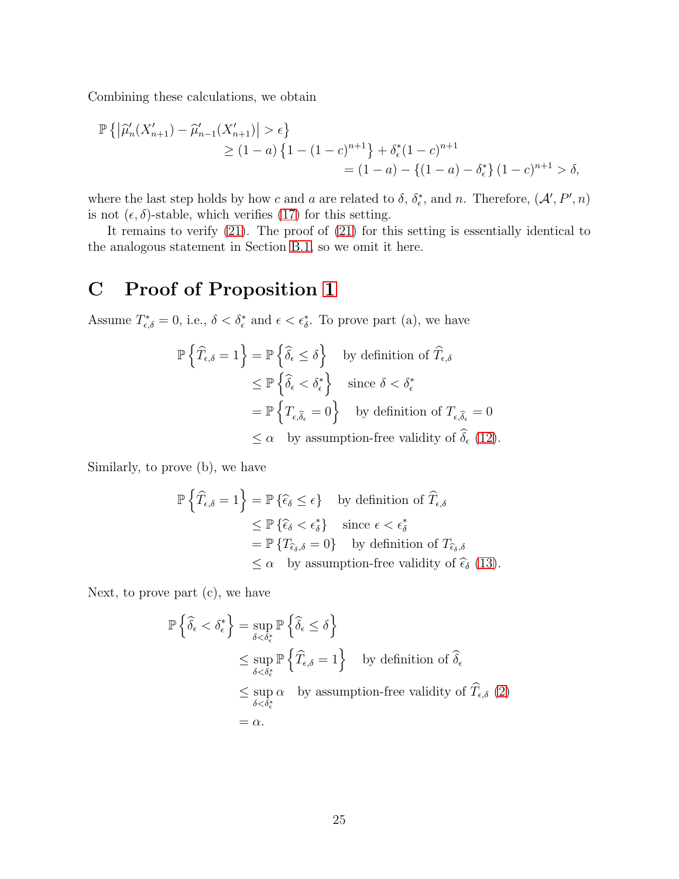Combining these calculations, we obtain

$$
\mathbb{P}\left\{ \left| \widehat{\mu}'_n(X'_{n+1}) - \widehat{\mu}'_{n-1}(X'_{n+1}) \right| > \epsilon \right\}
$$
  
\n
$$
\geq (1-a)\left\{ 1 - (1-c)^{n+1} \right\} + \delta_{\epsilon}^*(1-c)^{n+1}
$$
  
\n
$$
= (1-a) - \left\{ (1-a) - \delta_{\epsilon}^* \right\} (1-c)^{n+1} > \delta,
$$

where the last step holds by how c and a are related to  $\delta$ ,  $\delta_{\epsilon}^*$ , and n. Therefore,  $(\mathcal{A}', P', n)$ is not  $(\epsilon, \delta)$ -stable, which verifies [\(17\)](#page-17-4) for this setting.

It remains to verify [\(21\)](#page-17-0). The proof of [\(21\)](#page-17-0) for this setting is essentially identical to the analogous statement in Section [B.1,](#page-19-2) so we omit it here.

# <span id="page-24-0"></span>C Proof of Proposition [1](#page-11-2)

Assume  $T_{\epsilon,\delta}^* = 0$ , i.e.,  $\delta < \delta_{\epsilon}^*$  and  $\epsilon < \epsilon_{\delta}^*$ . To prove part (a), we have

$$
\mathbb{P}\left\{\widehat{T}_{\epsilon,\delta}=1\right\} = \mathbb{P}\left\{\widehat{\delta}_{\epsilon} \leq \delta\right\} \text{ by definition of } \widehat{T}_{\epsilon,\delta}
$$
  
\n
$$
\leq \mathbb{P}\left\{\widehat{\delta}_{\epsilon} < \delta_{\epsilon}^*\right\} \text{ since } \delta < \delta_{\epsilon}^*
$$
  
\n
$$
= \mathbb{P}\left\{T_{\epsilon,\widehat{\delta}_{\epsilon}}=0\right\} \text{ by definition of } T_{\epsilon,\widehat{\delta}_{\epsilon}}=0
$$
  
\n
$$
\leq \alpha \text{ by assumption-free validity of } \widehat{\delta}_{\epsilon} \text{ (12).}
$$

Similarly, to prove (b), we have

$$
\mathbb{P}\left\{\widehat{T}_{\epsilon,\delta}=1\right\} = \mathbb{P}\left\{\widehat{\epsilon}_{\delta}\leq\epsilon\right\} \text{ by definition of } \widehat{T}_{\epsilon,\delta}
$$
  
\n
$$
\leq \mathbb{P}\left\{\widehat{\epsilon}_{\delta}<\epsilon_{\delta}^{*}\right\} \text{ since } \epsilon<\epsilon_{\delta}^{*}
$$
  
\n
$$
= \mathbb{P}\left\{T_{\widehat{\epsilon}_{\delta},\delta}=0\right\} \text{ by definition of } T_{\widehat{\epsilon}_{\delta},\delta}
$$
  
\n
$$
\leq \alpha \text{ by assumption-free validity of } \widehat{\epsilon}_{\delta} \text{ (13).}
$$

Next, to prove part (c), we have

$$
\mathbb{P}\left\{\widehat{\delta}_{\epsilon} < \delta_{\epsilon}^{*}\right\} = \sup_{\delta < \delta_{\epsilon}^{*}} \mathbb{P}\left\{\widehat{\delta}_{\epsilon} \leq \delta\right\}
$$
\n
$$
\leq \sup_{\delta < \delta_{\epsilon}^{*}} \mathbb{P}\left\{\widehat{T}_{\epsilon,\delta} = 1\right\} \quad \text{by definition of } \widehat{\delta}_{\epsilon}
$$
\n
$$
\leq \sup_{\delta < \delta_{\epsilon}^{*}} \alpha \quad \text{by assumption-free validity of } \widehat{T}_{\epsilon,\delta} \text{ (2)}
$$
\n
$$
= \alpha.
$$